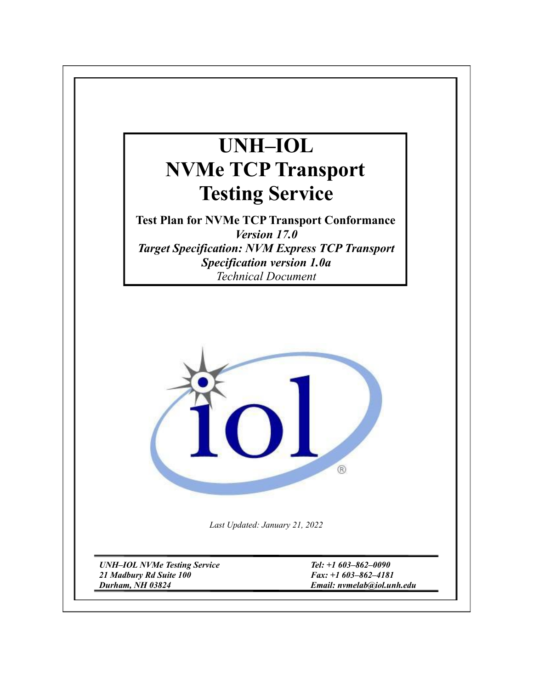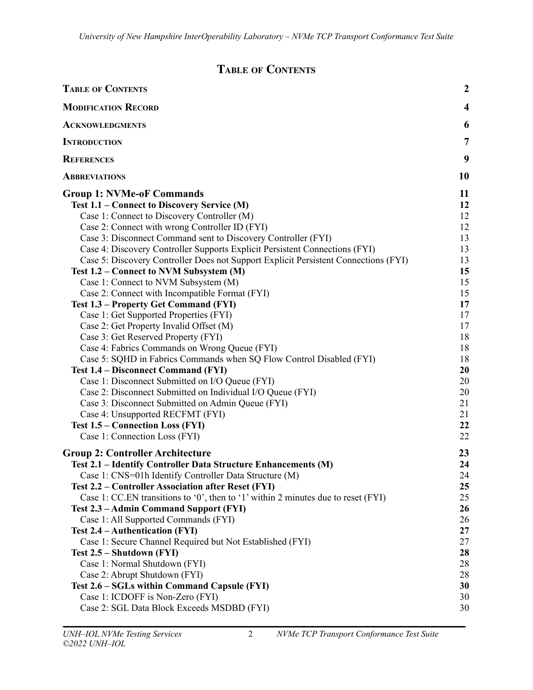# **TABLE OF CONTENTS**

<span id="page-1-0"></span>

| <b>TABLE OF CONTENTS</b>                                                            | $\boldsymbol{2}$        |
|-------------------------------------------------------------------------------------|-------------------------|
| <b>MODIFICATION RECORD</b>                                                          | $\overline{\mathbf{4}}$ |
| <b>ACKNOWLEDGMENTS</b>                                                              | 6                       |
| <b>INTRODUCTION</b>                                                                 | $\overline{7}$          |
| <b>REFERENCES</b>                                                                   | 9                       |
| <b>ABBREVIATIONS</b>                                                                | 10                      |
| <b>Group 1: NVMe-oF Commands</b>                                                    | 11                      |
| Test 1.1 – Connect to Discovery Service (M)                                         | 12                      |
| Case 1: Connect to Discovery Controller (M)                                         | 12                      |
| Case 2: Connect with wrong Controller ID (FYI)                                      | 12                      |
| Case 3: Disconnect Command sent to Discovery Controller (FYI)                       | 13                      |
| Case 4: Discovery Controller Supports Explicit Persistent Connections (FYI)         | 13                      |
| Case 5: Discovery Controller Does not Support Explicit Persistent Connections (FYI) | 13                      |
| Test 1.2 – Connect to NVM Subsystem (M)                                             | 15                      |
| Case 1: Connect to NVM Subsystem (M)                                                | 15                      |
| Case 2: Connect with Incompatible Format (FYI)                                      | 15                      |
| <b>Test 1.3 – Property Get Command (FYI)</b>                                        | 17                      |
| Case 1: Get Supported Properties (FYI)                                              | 17                      |
| Case 2: Get Property Invalid Offset (M)                                             | 17                      |
| Case 3: Get Reserved Property (FYI)                                                 | 18                      |
| Case 4: Fabrics Commands on Wrong Queue (FYI)                                       | 18                      |
| Case 5: SQHD in Fabrics Commands when SQ Flow Control Disabled (FYI)                | 18                      |
| <b>Test 1.4 – Disconnect Command (FYI)</b>                                          | 20                      |
| Case 1: Disconnect Submitted on I/O Queue (FYI)                                     | 20                      |
| Case 2: Disconnect Submitted on Individual I/O Queue (FYI)                          | 20                      |
| Case 3: Disconnect Submitted on Admin Queue (FYI)                                   | 21                      |
| Case 4: Unsupported RECFMT (FYI)                                                    | 21                      |
| <b>Test 1.5 – Connection Loss (FYI)</b>                                             | 22                      |
| Case 1: Connection Loss (FYI)                                                       | 22                      |
| <b>Group 2: Controller Architecture</b>                                             | 23                      |
| Test 2.1 - Identify Controller Data Structure Enhancements (M)                      | 24                      |
| Case 1: CNS=01h Identify Controller Data Structure (M)                              | 24                      |
| Test 2.2 – Controller Association after Reset (FYI)                                 | 25                      |
| Case 1: CC.EN transitions to '0', then to '1' within 2 minutes due to reset (FYI)   | 25                      |
| Test 2.3 - Admin Command Support (FYI)                                              | 26                      |
| Case 1: All Supported Commands (FYI)                                                | 26                      |
| Test 2.4 – Authentication (FYI)                                                     | 27                      |
| Case 1: Secure Channel Required but Not Established (FYI)                           | 27                      |
| Test 2.5 – Shutdown (FYI)                                                           | 28                      |
| Case 1: Normal Shutdown (FYI)                                                       | 28                      |
| Case 2: Abrupt Shutdown (FYI)                                                       | 28                      |
| Test 2.6 - SGLs within Command Capsule (FYI)                                        | 30                      |
| Case 1: ICDOFF is Non-Zero (FYI)                                                    | 30                      |
| Case 2: SGL Data Block Exceeds MSDBD (FYI)                                          | 30                      |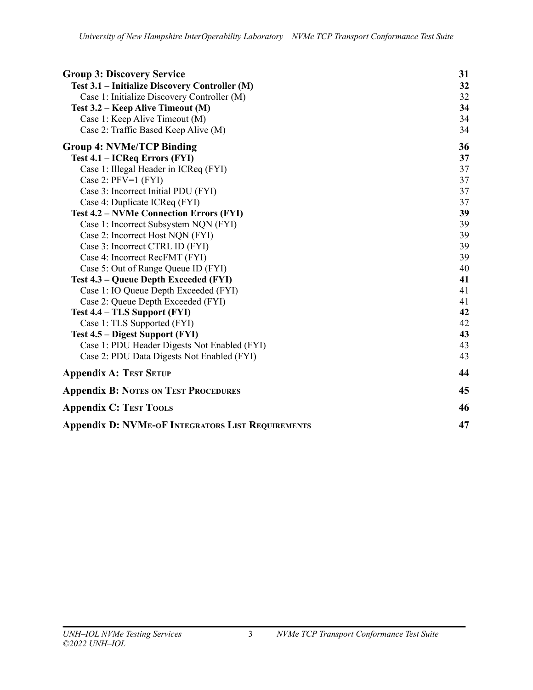| <b>Group 3: Discovery Service</b>                        | 31 |
|----------------------------------------------------------|----|
| Test 3.1 – Initialize Discovery Controller (M)           | 32 |
| Case 1: Initialize Discovery Controller (M)              | 32 |
| Test 3.2 – Keep Alive Timeout (M)                        | 34 |
| Case 1: Keep Alive Timeout (M)                           | 34 |
| Case 2: Traffic Based Keep Alive (M)                     | 34 |
| <b>Group 4: NVMe/TCP Binding</b>                         | 36 |
| Test 4.1 – ICReq Errors (FYI)                            | 37 |
| Case 1: Illegal Header in ICReq (FYI)                    | 37 |
| Case 2: $PFV=1$ (FYI)                                    | 37 |
| Case 3: Incorrect Initial PDU (FYI)                      | 37 |
| Case 4: Duplicate ICReq (FYI)                            | 37 |
| <b>Test 4.2 – NVMe Connection Errors (FYI)</b>           | 39 |
| Case 1: Incorrect Subsystem NQN (FYI)                    | 39 |
| Case 2: Incorrect Host NQN (FYI)                         | 39 |
| Case 3: Incorrect CTRL ID (FYI)                          | 39 |
| Case 4: Incorrect RecFMT (FYI)                           | 39 |
| Case 5: Out of Range Queue ID (FYI)                      | 40 |
| Test 4.3 – Queue Depth Exceeded (FYI)                    | 41 |
| Case 1: IO Queue Depth Exceeded (FYI)                    | 41 |
| Case 2: Queue Depth Exceeded (FYI)                       | 41 |
| Test 4.4 – TLS Support (FYI)                             | 42 |
| Case 1: TLS Supported (FYI)                              | 42 |
| Test 4.5 – Digest Support (FYI)                          | 43 |
| Case 1: PDU Header Digests Not Enabled (FYI)             | 43 |
| Case 2: PDU Data Digests Not Enabled (FYI)               | 43 |
| <b>Appendix A: TEST SETUP</b>                            | 44 |
| <b>Appendix B: NOTES ON TEST PROCEDURES</b>              | 45 |
| <b>Appendix C: TEST TOOLS</b>                            | 46 |
| <b>Appendix D: NVME-OF INTEGRATORS LIST REQUIREMENTS</b> | 47 |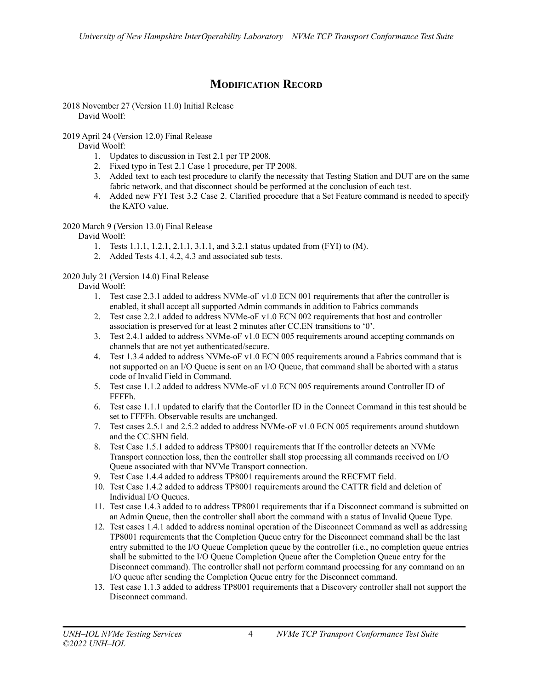# **MODIFICATION RECORD**

<span id="page-3-0"></span>2018 November 27 (Version 11.0) Initial Release David Woolf:

2019 April 24 (Version 12.0) Final Release

David Woolf:

- 1. Updates to discussion in Test 2.1 per TP 2008.
- 2. Fixed typo in Test 2.1 Case 1 procedure, per TP 2008.
- 3. Added text to each test procedure to clarify the necessity that Testing Station and DUT are on the same fabric network, and that disconnect should be performed at the conclusion of each test.
- 4. Added new FYI Test 3.2 Case 2. Clarified procedure that a Set Feature command is needed to specify the KATO value.

# 2020 March 9 (Version 13.0) Final Release

David Woolf:

- 1. Tests 1.1.1, 1.2.1, 2.1.1, 3.1.1, and 3.2.1 status updated from (FYI) to (M).
- 2. Added Tests 4.1, 4.2, 4.3 and associated sub tests.

# 2020 July 21 (Version 14.0) Final Release

David Woolf:

- 1. Test case 2.3.1 added to address NVMe-oF v1.0 ECN 001 requirements that after the controller is enabled, it shall accept all supported Admin commands in addition to Fabrics commands
- 2. Test case 2.2.1 added to address NVMe-oF v1.0 ECN 002 requirements that host and controller association is preserved for at least 2 minutes after CC.EN transitions to '0'.
- 3. Test 2.4.1 added to address NVMe-oF v1.0 ECN 005 requirements around accepting commands on channels that are not yet authenticated/secure.
- 4. Test 1.3.4 added to address NVMe-oF v1.0 ECN 005 requirements around a Fabrics command that is not supported on an I/O Queue is sent on an I/O Queue, that command shall be aborted with a status code of Invalid Field in Command.
- 5. Test case 1.1.2 added to address NVMe-oF v1.0 ECN 005 requirements around Controller ID of FFFFh.
- 6. Test case 1.1.1 updated to clarify that the Contorller ID in the Connect Command in this test should be set to FFFFh. Observable results are unchanged.
- 7. Test cases 2.5.1 and 2.5.2 added to address NVMe-oF v1.0 ECN 005 requirements around shutdown and the CC.SHN field.
- 8. Test Case 1.5.1 added to address TP8001 requirements that If the controller detects an NVMe Transport connection loss, then the controller shall stop processing all commands received on I/O Queue associated with that NVMe Transport connection.
- 9. Test Case 1.4.4 added to address TP8001 requirements around the RECFMT field.
- 10. Test Case 1.4.2 added to address TP8001 requirements around the CATTR field and deletion of Individual I/O Queues.
- 11. Test case 1.4.3 added to to address TP8001 requirements that if a Disconnect command is submitted on an Admin Queue, then the controller shall abort the command with a status of Invalid Queue Type.
- 12. Test cases 1.4.1 added to address nominal operation of the Disconnect Command as well as addressing TP8001 requirements that the Completion Queue entry for the Disconnect command shall be the last entry submitted to the I/O Queue Completion queue by the controller (i.e., no completion queue entries shall be submitted to the I/O Queue Completion Queue after the Completion Queue entry for the Disconnect command). The controller shall not perform command processing for any command on an I/O queue after sending the Completion Queue entry for the Disconnect command.
- 13. Test case 1.1.3 added to address TP8001 requirements that a Discovery controller shall not support the Disconnect command.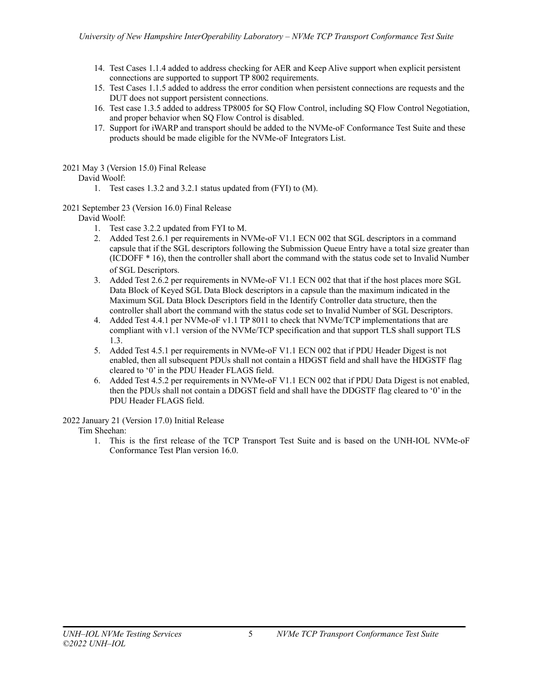- 14. Test Cases 1.1.4 added to address checking for AER and Keep Alive support when explicit persistent connections are supported to support TP 8002 requirements.
- 15. Test Cases 1.1.5 added to address the error condition when persistent connections are requests and the DUT does not support persistent connections.
- 16. Test case 1.3.5 added to address TP8005 for SQ Flow Control, including SQ Flow Control Negotiation, and proper behavior when SQ Flow Control is disabled.
- 17. Support for iWARP and transport should be added to the NVMe-oF Conformance Test Suite and these products should be made eligible for the NVMe-oF Integrators List.

2021 May 3 (Version 15.0) Final Release

# David Woolf:

- 1. Test cases 1.3.2 and 3.2.1 status updated from (FYI) to (M).
- 2021 September 23 (Version 16.0) Final Release

David Woolf:

- 1. Test case 3.2.2 updated from FYI to M.
- 2. Added Test 2.6.1 per requirements in NVMe-oF V1.1 ECN 002 that SGL descriptors in a command capsule that if the SGL descriptors following the Submission Queue Entry have a total size greater than (ICDOFF \* 16), then the controller shall abort the command with the status code set to Invalid Number of SGL Descriptors.
- 3. Added Test 2.6.2 per requirements in NVMe-oF V1.1 ECN 002 that that if the host places more SGL Data Block of Keyed SGL Data Block descriptors in a capsule than the maximum indicated in the Maximum SGL Data Block Descriptors field in the Identify Controller data structure, then the controller shall abort the command with the status code set to Invalid Number of SGL Descriptors.
- 4. Added Test 4.4.1 per NVMe-oF v1.1 TP 8011 to check that NVMe/TCP implementations that are compliant with v1.1 version of the NVMe/TCP specification and that support TLS shall support TLS 1.3.
- 5. Added Test 4.5.1 per requirements in NVMe-oF V1.1 ECN 002 that if PDU Header Digest is not enabled, then all subsequent PDUs shall not contain a HDGST field and shall have the HDGSTF flag cleared to '0' in the PDU Header FLAGS field.
- 6. Added Test 4.5.2 per requirements in NVMe-oF V1.1 ECN 002 that if PDU Data Digest is not enabled, then the PDUs shall not contain a DDGST field and shall have the DDGSTF flag cleared to '0' in the PDU Header FLAGS field.

2022 January 21 (Version 17.0) Initial Release

Tim Sheehan:

1. This is the first release of the TCP Transport Test Suite and is based on the UNH-IOL NVMe-oF Conformance Test Plan version 16.0.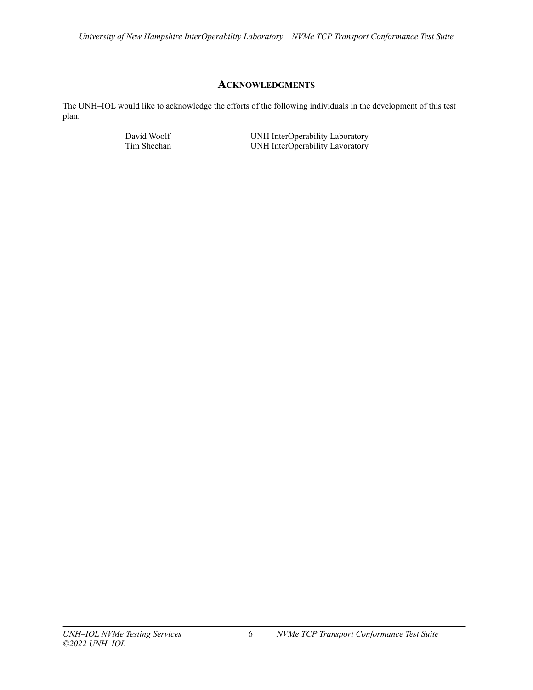# **ACKNOWLEDGMENTS**

<span id="page-5-0"></span>The UNH–IOL would like to acknowledge the efforts of the following individuals in the development of this test plan:

David Woolf UNH InterOperability Laboratory<br>
UNH InterOperability Lavoratory<br>
UNH InterOperability Lavoratory UNH InterOperability Lavoratory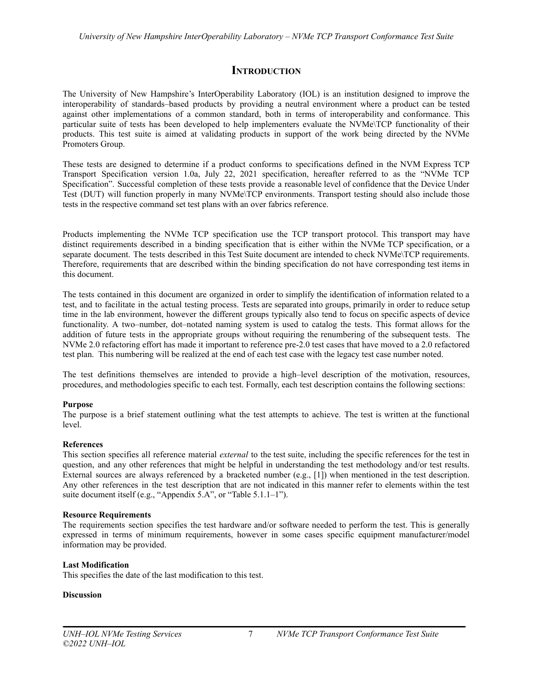# **INTRODUCTION**

<span id="page-6-0"></span>The University of New Hampshire's InterOperability Laboratory (IOL) is an institution designed to improve the interoperability of standards–based products by providing a neutral environment where a product can be tested against other implementations of a common standard, both in terms of interoperability and conformance. This particular suite of tests has been developed to help implementers evaluate the NVMe\TCP functionality of their products. This test suite is aimed at validating products in support of the work being directed by the NVMe Promoters Group.

These tests are designed to determine if a product conforms to specifications defined in the NVM Express TCP Transport Specification version 1.0a, July 22, 2021 specification, hereafter referred to as the "NVMe TCP Specification". Successful completion of these tests provide a reasonable level of confidence that the Device Under Test (DUT) will function properly in many NVMe\TCP environments. Transport testing should also include those tests in the respective command set test plans with an over fabrics reference.

Products implementing the NVMe TCP specification use the TCP transport protocol. This transport may have distinct requirements described in a binding specification that is either within the NVMe TCP specification, or a separate document. The tests described in this Test Suite document are intended to check NVMe\TCP requirements. Therefore, requirements that are described within the binding specification do not have corresponding test items in this document.

The tests contained in this document are organized in order to simplify the identification of information related to a test, and to facilitate in the actual testing process. Tests are separated into groups, primarily in order to reduce setup time in the lab environment, however the different groups typically also tend to focus on specific aspects of device functionality. A two–number, dot–notated naming system is used to catalog the tests. This format allows for the addition of future tests in the appropriate groups without requiring the renumbering of the subsequent tests. The NVMe 2.0 refactoring effort has made it important to reference pre-2.0 test cases that have moved to a 2.0 refactored test plan. This numbering will be realized at the end of each test case with the legacy test case number noted.

The test definitions themselves are intended to provide a high–level description of the motivation, resources, procedures, and methodologies specific to each test. Formally, each test description contains the following sections:

# **Purpose**

The purpose is a brief statement outlining what the test attempts to achieve. The test is written at the functional level.

# **References**

This section specifies all reference material *external* to the test suite, including the specific references for the test in question, and any other references that might be helpful in understanding the test methodology and/or test results. External sources are always referenced by a bracketed number (e.g., [1]) when mentioned in the test description. Any other references in the test description that are not indicated in this manner refer to elements within the test suite document itself (e.g., "Appendix 5.A", or "Table 5.1.1–1").

#### **Resource Requirements**

The requirements section specifies the test hardware and/or software needed to perform the test. This is generally expressed in terms of minimum requirements, however in some cases specific equipment manufacturer/model information may be provided.

# **Last Modification**

This specifies the date of the last modification to this test.

#### **Discussion**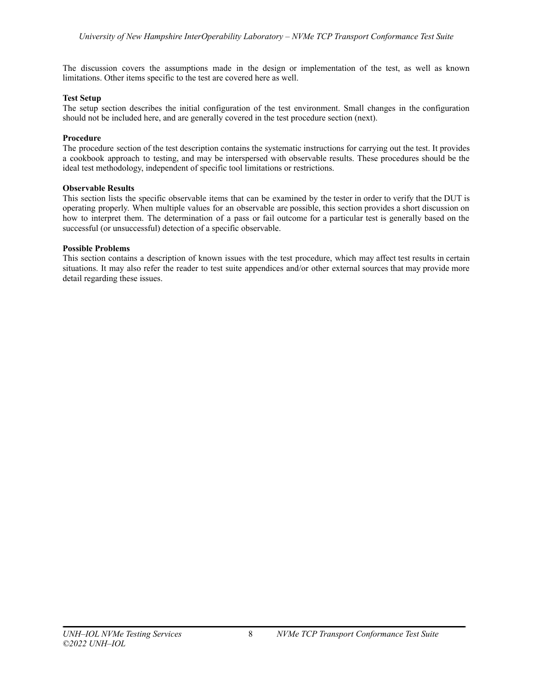The discussion covers the assumptions made in the design or implementation of the test, as well as known limitations. Other items specific to the test are covered here as well.

# **Test Setup**

The setup section describes the initial configuration of the test environment. Small changes in the configuration should not be included here, and are generally covered in the test procedure section (next).

# **Procedure**

The procedure section of the test description contains the systematic instructions for carrying out the test. It provides a cookbook approach to testing, and may be interspersed with observable results. These procedures should be the ideal test methodology, independent of specific tool limitations or restrictions.

# **Observable Results**

This section lists the specific observable items that can be examined by the tester in order to verify that the DUT is operating properly. When multiple values for an observable are possible, this section provides a short discussion on how to interpret them. The determination of a pass or fail outcome for a particular test is generally based on the successful (or unsuccessful) detection of a specific observable.

# **Possible Problems**

This section contains a description of known issues with the test procedure, which may affect test results in certain situations. It may also refer the reader to test suite appendices and/or other external sources that may provide more detail regarding these issues.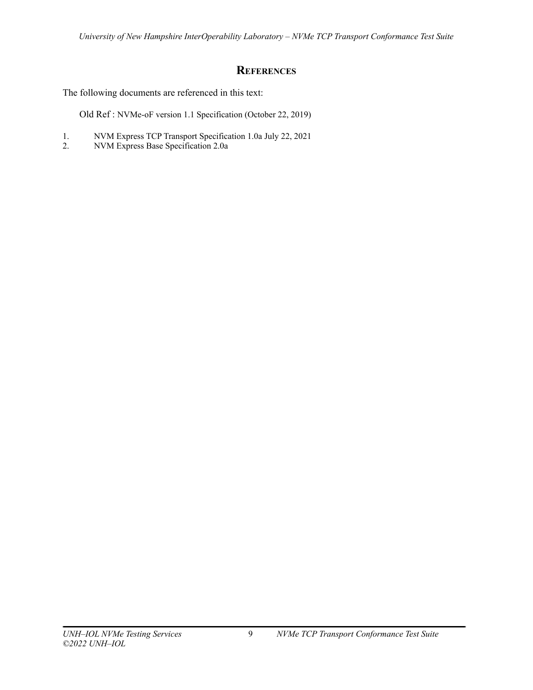# **REFERENCES**

<span id="page-8-0"></span>The following documents are referenced in this text:

Old Ref : NVMe-oF version 1.1 Specification (October 22, 2019)

- 1. NVM Express TCP Transport Specification 1.0a July 22, 2021<br>2. NVM Express Base Specification 2.0a
- 2. NVM Express Base Specification 2.0a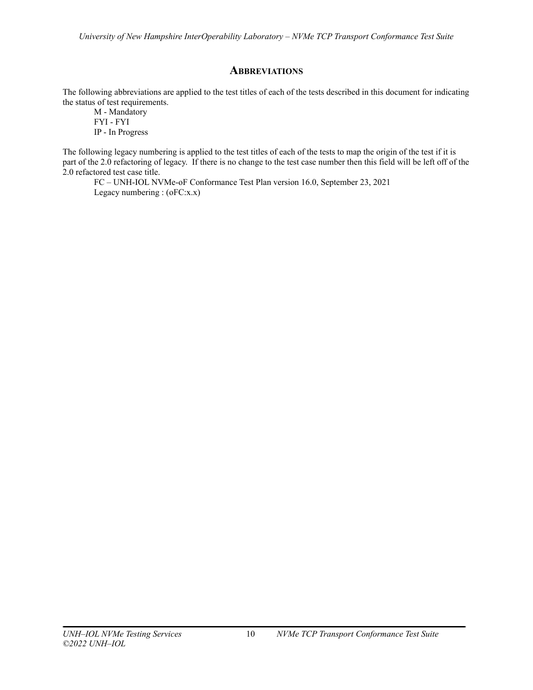# **ABBREVIATIONS**

<span id="page-9-0"></span>The following abbreviations are applied to the test titles of each of the tests described in this document for indicating the status of test requirements.

M - Mandatory FYI - FYI IP - In Progress

The following legacy numbering is applied to the test titles of each of the tests to map the origin of the test if it is part of the 2.0 refactoring of legacy. If there is no change to the test case number then this field will be left off of the 2.0 refactored test case title.

FC – UNH-IOL NVMe-oF Conformance Test Plan version 16.0, September 23, 2021 Legacy numbering : (oFC:x.x)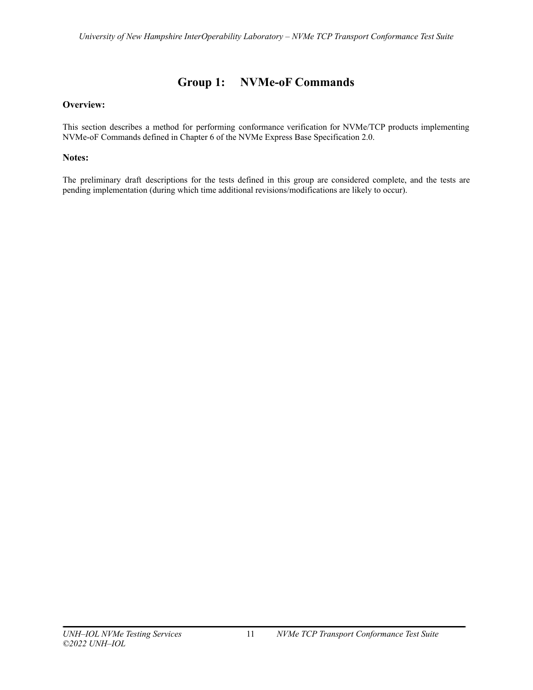# **Group 1: NVMe-oF Commands**

# <span id="page-10-0"></span>**Overview:**

This section describes a method for performing conformance verification for NVMe/TCP products implementing NVMe-oF Commands defined in Chapter 6 of the NVMe Express Base Specification 2.0.

# **Notes:**

The preliminary draft descriptions for the tests defined in this group are considered complete, and the tests are pending implementation (during which time additional revisions/modifications are likely to occur).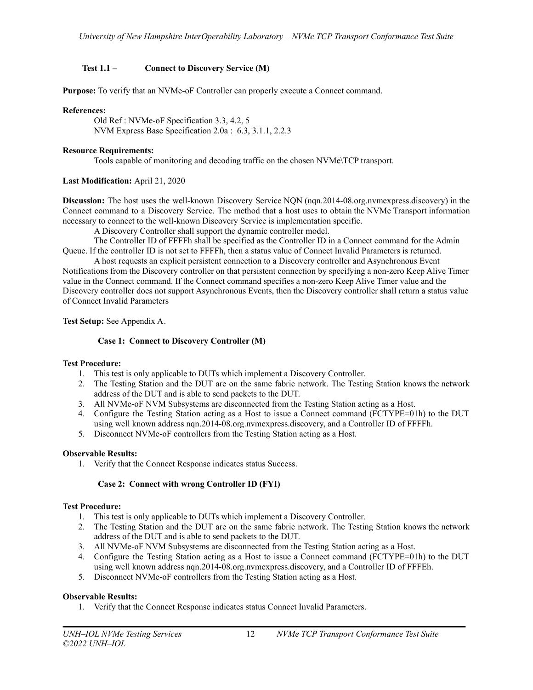# <span id="page-11-0"></span>**Test 1.1 – Connect to Discovery Service (M)**

**Purpose:** To verify that an NVMe-oF Controller can properly execute a Connect command.

## **References:**

Old Ref : NVMe-oF Specification 3.3, 4.2, 5 NVM Express Base Specification 2.0a : 6.3, 3.1.1, 2.2.3

## **Resource Requirements:**

Tools capable of monitoring and decoding traffic on the chosen NVMe\TCP transport.

# **Last Modification:** April 21, 2020

**Discussion:** The host uses the well-known Discovery Service NQN (nqn.2014-08.org.nvmexpress.discovery) in the Connect command to a Discovery Service. The method that a host uses to obtain the NVMe Transport information necessary to connect to the well-known Discovery Service is implementation specific.

A Discovery Controller shall support the dynamic controller model.

The Controller ID of FFFFh shall be specified as the Controller ID in a Connect command for the Admin Queue. If the controller ID is not set to FFFFh, then a status value of Connect Invalid Parameters is returned.

A host requests an explicit persistent connection to a Discovery controller and Asynchronous Event Notifications from the Discovery controller on that persistent connection by specifying a non-zero Keep Alive Timer value in the Connect command. If the Connect command specifies a non-zero Keep Alive Timer value and the Discovery controller does not support Asynchronous Events, then the Discovery controller shall return a status value of Connect Invalid Parameters

<span id="page-11-1"></span>**Test Setup:** See Appendix A.

# **Case 1: Connect to Discovery Controller (M)**

#### **Test Procedure:**

- 1. This test is only applicable to DUTs which implement a Discovery Controller.
- 2. The Testing Station and the DUT are on the same fabric network. The Testing Station knows the network address of the DUT and is able to send packets to the DUT.
- 3. All NVMe-oF NVM Subsystems are disconnected from the Testing Station acting as a Host.
- 4. Configure the Testing Station acting as a Host to issue a Connect command (FCTYPE=01h) to the DUT using well known address nqn.2014-08.org.nvmexpress.discovery, and a Controller ID of FFFFh.
- 5. Disconnect NVMe-oF controllers from the Testing Station acting as a Host.

#### **Observable Results:**

1. Verify that the Connect Response indicates status Success.

# **Case 2: Connect with wrong Controller ID (FYI)**

#### <span id="page-11-2"></span>**Test Procedure:**

- 1. This test is only applicable to DUTs which implement a Discovery Controller.
- 2. The Testing Station and the DUT are on the same fabric network. The Testing Station knows the network address of the DUT and is able to send packets to the DUT.
- 3. All NVMe-oF NVM Subsystems are disconnected from the Testing Station acting as a Host.
- 4. Configure the Testing Station acting as a Host to issue a Connect command (FCTYPE=01h) to the DUT using well known address nqn.2014-08.org.nvmexpress.discovery, and a Controller ID of FFFEh.
- 5. Disconnect NVMe-oF controllers from the Testing Station acting as a Host.

# **Observable Results:**

1. Verify that the Connect Response indicates status Connect Invalid Parameters.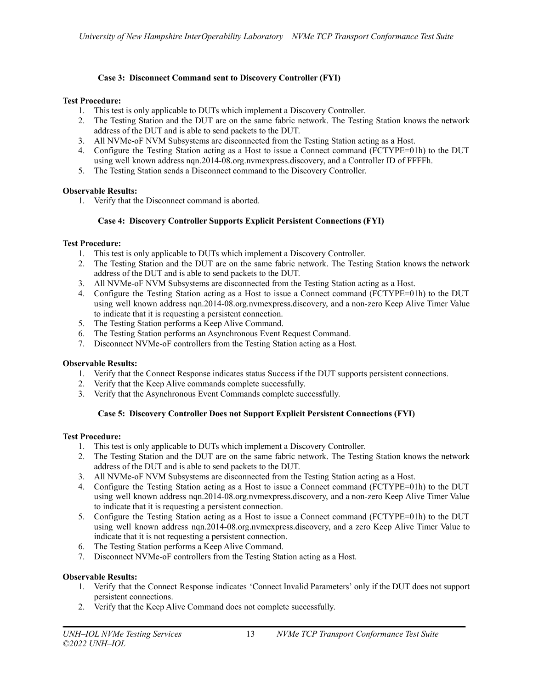# **Case 3: Disconnect Command sent to Discovery Controller (FYI)**

# <span id="page-12-0"></span>**Test Procedure:**

- 1. This test is only applicable to DUTs which implement a Discovery Controller.
- 2. The Testing Station and the DUT are on the same fabric network. The Testing Station knows the network address of the DUT and is able to send packets to the DUT.
- 3. All NVMe-oF NVM Subsystems are disconnected from the Testing Station acting as a Host.
- 4. Configure the Testing Station acting as a Host to issue a Connect command (FCTYPE=01h) to the DUT using well known address nqn.2014-08.org.nvmexpress.discovery, and a Controller ID of FFFFh.
- 5. The Testing Station sends a Disconnect command to the Discovery Controller.

# **Observable Results:**

1. Verify that the Disconnect command is aborted.

# **Case 4: Discovery Controller Supports Explicit Persistent Connections (FYI)**

# <span id="page-12-1"></span>**Test Procedure:**

- 1. This test is only applicable to DUTs which implement a Discovery Controller.
- 2. The Testing Station and the DUT are on the same fabric network. The Testing Station knows the network address of the DUT and is able to send packets to the DUT.
- 3. All NVMe-oF NVM Subsystems are disconnected from the Testing Station acting as a Host.
- 4. Configure the Testing Station acting as a Host to issue a Connect command (FCTYPE=01h) to the DUT using well known address nqn.2014-08.org.nvmexpress.discovery, and a non-zero Keep Alive Timer Value to indicate that it is requesting a persistent connection.
- 5. The Testing Station performs a Keep Alive Command.
- 6. The Testing Station performs an Asynchronous Event Request Command.
- 7. Disconnect NVMe-oF controllers from the Testing Station acting as a Host.

# **Observable Results:**

- 1. Verify that the Connect Response indicates status Success if the DUT supports persistent connections.
- 2. Verify that the Keep Alive commands complete successfully.
- 3. Verify that the Asynchronous Event Commands complete successfully.

# **Case 5: Discovery Controller Does not Support Explicit Persistent Connections (FYI)**

# <span id="page-12-2"></span>**Test Procedure:**

- 1. This test is only applicable to DUTs which implement a Discovery Controller.
- 2. The Testing Station and the DUT are on the same fabric network. The Testing Station knows the network address of the DUT and is able to send packets to the DUT.
- 3. All NVMe-oF NVM Subsystems are disconnected from the Testing Station acting as a Host.
- 4. Configure the Testing Station acting as a Host to issue a Connect command (FCTYPE=01h) to the DUT using well known address ngn.2014-08.org.nvmexpress.discovery, and a non-zero Keep Alive Timer Value to indicate that it is requesting a persistent connection.
- 5. Configure the Testing Station acting as a Host to issue a Connect command (FCTYPE=01h) to the DUT using well known address nqn.2014-08.org.nvmexpress.discovery, and a zero Keep Alive Timer Value to indicate that it is not requesting a persistent connection.
- 6. The Testing Station performs a Keep Alive Command.
- 7. Disconnect NVMe-oF controllers from the Testing Station acting as a Host.

# **Observable Results:**

- 1. Verify that the Connect Response indicates 'Connect Invalid Parameters' only if the DUT does not support persistent connections.
- 2. Verify that the Keep Alive Command does not complete successfully.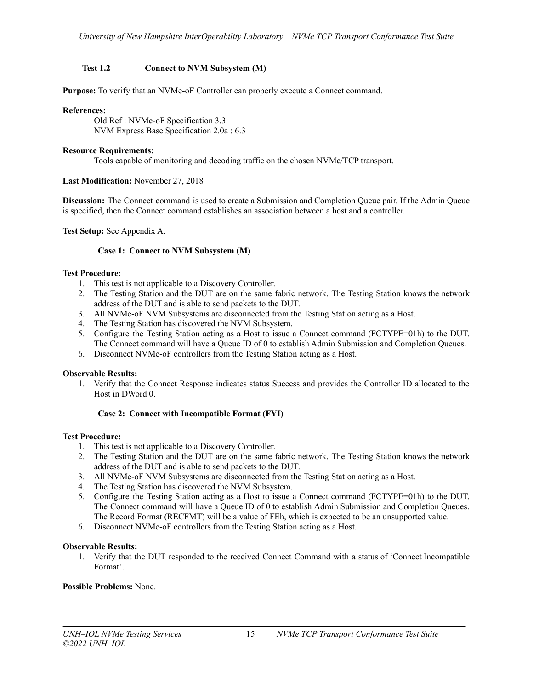# <span id="page-14-0"></span>**Test 1.2 – Connect to NVM Subsystem (M)**

**Purpose:** To verify that an NVMe-oF Controller can properly execute a Connect command.

#### **References:**

Old Ref : NVMe-oF Specification 3.3 NVM Express Base Specification 2.0a : 6.3

## **Resource Requirements:**

Tools capable of monitoring and decoding traffic on the chosen NVMe/TCP transport.

# **Last Modification:** November 27, 2018

**Discussion:** The Connect command is used to create a Submission and Completion Queue pair. If the Admin Queue is specified, then the Connect command establishes an association between a host and a controller.

<span id="page-14-1"></span>**Test Setup:** See Appendix A.

# **Case 1: Connect to NVM Subsystem (M)**

# **Test Procedure:**

- 1. This test is not applicable to a Discovery Controller.
- 2. The Testing Station and the DUT are on the same fabric network. The Testing Station knows the network address of the DUT and is able to send packets to the DUT.
- 3. All NVMe-oF NVM Subsystems are disconnected from the Testing Station acting as a Host.
- 4. The Testing Station has discovered the NVM Subsystem.
- 5. Configure the Testing Station acting as a Host to issue a Connect command (FCTYPE=01h) to the DUT. The Connect command will have a Queue ID of 0 to establish Admin Submission and Completion Queues.
- 6. Disconnect NVMe-oF controllers from the Testing Station acting as a Host.

#### **Observable Results:**

1. Verify that the Connect Response indicates status Success and provides the Controller ID allocated to the Host in DWord 0.

# **Case 2: Connect with Incompatible Format (FYI)**

#### <span id="page-14-2"></span>**Test Procedure:**

- 1. This test is not applicable to a Discovery Controller.
- 2. The Testing Station and the DUT are on the same fabric network. The Testing Station knows the network address of the DUT and is able to send packets to the DUT.
- 3. All NVMe-oF NVM Subsystems are disconnected from the Testing Station acting as a Host.
- 4. The Testing Station has discovered the NVM Subsystem.
- 5. Configure the Testing Station acting as a Host to issue a Connect command (FCTYPE=01h) to the DUT. The Connect command will have a Queue ID of 0 to establish Admin Submission and Completion Queues. The Record Format (RECFMT) will be a value of FEh, which is expected to be an unsupported value.
- 6. Disconnect NVMe-oF controllers from the Testing Station acting as a Host.

#### **Observable Results:**

1. Verify that the DUT responded to the received Connect Command with a status of 'Connect Incompatible Format'.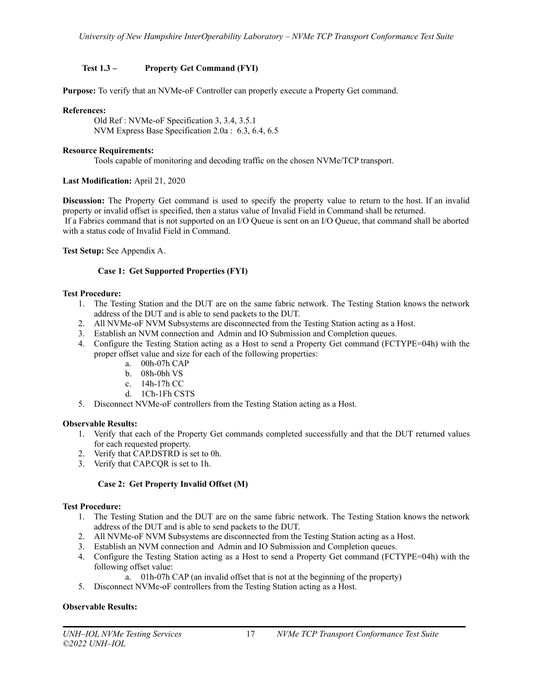# <span id="page-16-0"></span>**Test 1.3 – Property Get Command (FYI)**

**Purpose:** To verify that an NVMe-oF Controller can properly execute a Property Get command.

## **References:**

Old Ref : NVMe-oF Specification 3, 3.4, 3.5.1 NVM Express Base Specification 2.0a : 6.3, 6.4, 6.5

# **Resource Requirements:**

Tools capable of monitoring and decoding traffic on the chosen NVMe/TCP transport.

# **Last Modification:** April 21, 2020

**Discussion:** The Property Get command is used to specify the property value to return to the host. If an invalid property or invalid offset is specified, then a status value of Invalid Field in Command shall be returned. If a Fabrics command that is not supported on an I/O Queue is sent on an I/O Queue, that command shall be aborted with a status code of Invalid Field in Command.

<span id="page-16-1"></span>**Test Setup:** See Appendix A.

# **Case 1: Get Supported Properties (FYI)**

# **Test Procedure:**

- 1. The Testing Station and the DUT are on the same fabric network. The Testing Station knows the network address of the DUT and is able to send packets to the DUT.
- 2. All NVMe-oF NVM Subsystems are disconnected from the Testing Station acting as a Host.
- 3. Establish an NVM connection and Admin and IO Submission and Completion queues.
- 4. Configure the Testing Station acting as a Host to send a Property Get command (FCTYPE=04h) with the proper offset value and size for each of the following properties:
	- a. 00h-07h CAP
	- b. 08h-0bh VS
	- c. 14h-17h CC
	- d. 1Ch-1Fh CSTS
- 5. Disconnect NVMe-oF controllers from the Testing Station acting as a Host.

#### **Observable Results:**

- 1. Verify that each of the Property Get commands completed successfully and that the DUT returned values for each requested property.
- 2. Verify that CAP.DSTRD is set to 0h.
- 3. Verify that CAP.CQR is set to 1h.

# **Case 2: Get Property Invalid Offset (M)**

#### <span id="page-16-2"></span>**Test Procedure:**

- 1. The Testing Station and the DUT are on the same fabric network. The Testing Station knows the network address of the DUT and is able to send packets to the DUT.
- 2. All NVMe-oF NVM Subsystems are disconnected from the Testing Station acting as a Host.
- 3. Establish an NVM connection and Admin and IO Submission and Completion queues.
- 4. Configure the Testing Station acting as a Host to send a Property Get command (FCTYPE=04h) with the following offset value:
	- a. 01h-07h CAP (an invalid offset that is not at the beginning of the property)
- 5. Disconnect NVMe-oF controllers from the Testing Station acting as a Host.

# **Observable Results:**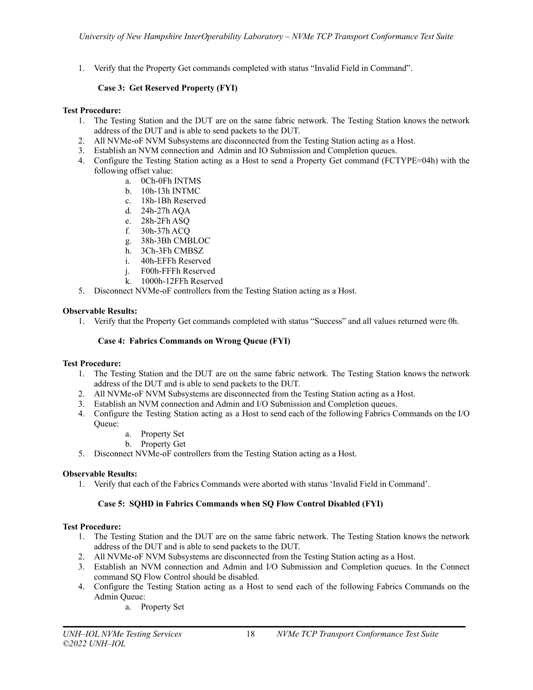1. Verify that the Property Get commands completed with status "Invalid Field in Command".

# **Case 3: Get Reserved Property (FYI)**

# <span id="page-17-0"></span>**Test Procedure:**

- 1. The Testing Station and the DUT are on the same fabric network. The Testing Station knows the network address of the DUT and is able to send packets to the DUT.
- 2. All NVMe-oF NVM Subsystems are disconnected from the Testing Station acting as a Host.
- 3. Establish an NVM connection and Admin and IO Submission and Completion queues.
- 4. Configure the Testing Station acting as a Host to send a Property Get command (FCTYPE=04h) with the following offset value:
	- a. 0Ch-0Fh INTMS
	- b. 10h-13h INTMC
	- c. 18h-1Bh Reserved
	- d. 24h-27h AQA
	- e. 28h-2Fh ASQ
	- f. 30h-37h ACQ
	- g. 38h-3Bh CMBLOC
	- h. 3Ch-3Fh CMBSZ
	- i. 40h-EFFh Reserved
	- j. F00h-FFFh Reserved
	- k. 1000h-12FFh Reserved
- 5. Disconnect NVMe-oF controllers from the Testing Station acting as a Host.

# **Observable Results:**

1. Verify that the Property Get commands completed with status "Success" and all values returned were 0h.

# **Case 4: Fabrics Commands on Wrong Queue (FYI)**

#### <span id="page-17-1"></span>**Test Procedure:**

- 1. The Testing Station and the DUT are on the same fabric network. The Testing Station knows the network address of the DUT and is able to send packets to the DUT.
- 2. All NVMe-oF NVM Subsystems are disconnected from the Testing Station acting as a Host.
- 3. Establish an NVM connection and Admin and I/O Submission and Completion queues.
- 4. Configure the Testing Station acting as a Host to send each of the following Fabrics Commands on the I/O Queue:
	- a. Property Set
	- b. Property Get
- 5. Disconnect NVMe-oF controllers from the Testing Station acting as a Host.

#### **Observable Results:**

1. Verify that each of the Fabrics Commands were aborted with status 'Invalid Field in Command'.

# **Case 5: SQHD in Fabrics Commands when SQ Flow Control Disabled (FYI)**

#### <span id="page-17-2"></span>**Test Procedure:**

- 1. The Testing Station and the DUT are on the same fabric network. The Testing Station knows the network address of the DUT and is able to send packets to the DUT.
- 2. All NVMe-oF NVM Subsystems are disconnected from the Testing Station acting as a Host.
- 3. Establish an NVM connection and Admin and I/O Submission and Completion queues. In the Connect command SQ Flow Control should be disabled.
- 4. Configure the Testing Station acting as a Host to send each of the following Fabrics Commands on the Admin Queue:
	- a. Property Set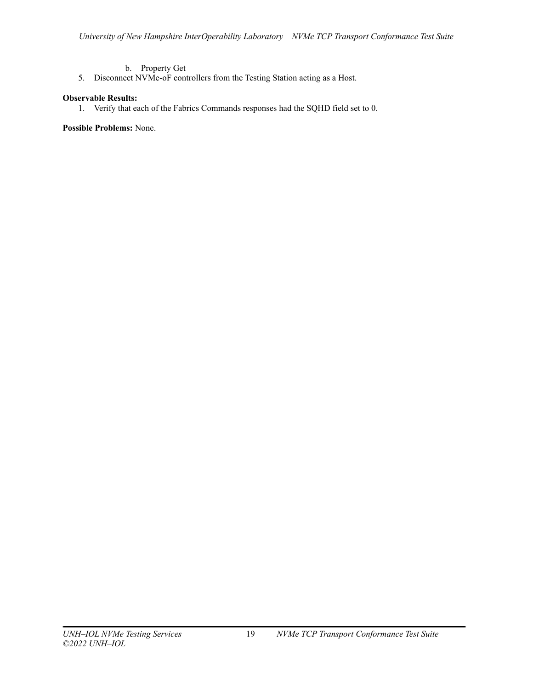- b. Property Get
- 5. Disconnect NVMe-oF controllers from the Testing Station acting as a Host.

# **Observable Results:**

1. Verify that each of the Fabrics Commands responses had the SQHD field set to 0.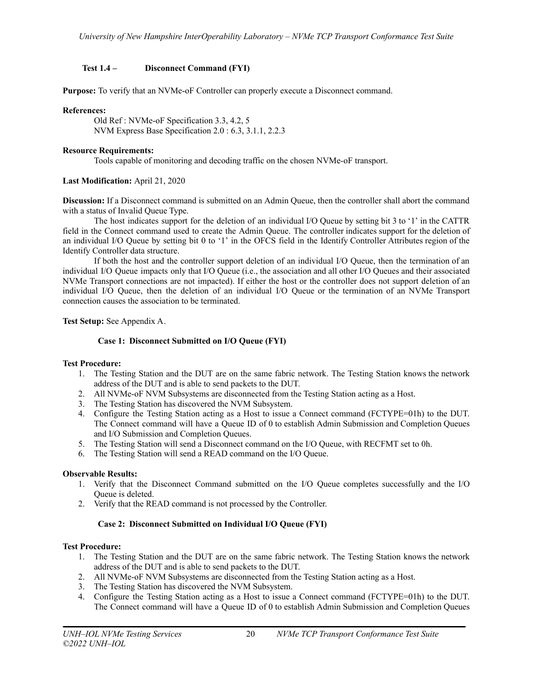# <span id="page-19-0"></span>**Test 1.4 – Disconnect Command (FYI)**

**Purpose:** To verify that an NVMe-oF Controller can properly execute a Disconnect command.

# **References:**

Old Ref : NVMe-oF Specification 3.3, 4.2, 5 NVM Express Base Specification 2.0 : 6.3, 3.1.1, 2.2.3

## **Resource Requirements:**

Tools capable of monitoring and decoding traffic on the chosen NVMe-oF transport.

# **Last Modification:** April 21, 2020

**Discussion:** If a Disconnect command is submitted on an Admin Queue, then the controller shall abort the command with a status of Invalid Queue Type.

The host indicates support for the deletion of an individual I/O Queue by setting bit 3 to '1' in the CATTR field in the Connect command used to create the Admin Queue. The controller indicates support for the deletion of an individual I/O Queue by setting bit 0 to '1' in the OFCS field in the Identify Controller Attributes region of the Identify Controller data structure.

If both the host and the controller support deletion of an individual I/O Queue, then the termination of an individual I/O Queue impacts only that I/O Queue (i.e., the association and all other I/O Queues and their associated NVMe Transport connections are not impacted). If either the host or the controller does not support deletion of an individual I/O Queue, then the deletion of an individual I/O Queue or the termination of an NVMe Transport connection causes the association to be terminated.

<span id="page-19-1"></span>**Test Setup:** See Appendix A.

# **Case 1: Disconnect Submitted on I/O Queue (FYI)**

#### **Test Procedure:**

- 1. The Testing Station and the DUT are on the same fabric network. The Testing Station knows the network address of the DUT and is able to send packets to the DUT.
- 2. All NVMe-oF NVM Subsystems are disconnected from the Testing Station acting as a Host.
- 3. The Testing Station has discovered the NVM Subsystem.
- 4. Configure the Testing Station acting as a Host to issue a Connect command (FCTYPE=01h) to the DUT. The Connect command will have a Queue ID of 0 to establish Admin Submission and Completion Queues and I/O Submission and Completion Queues.
- 5. The Testing Station will send a Disconnect command on the I/O Queue, with RECFMT set to 0h.
- 6. The Testing Station will send a READ command on the I/O Queue.

#### **Observable Results:**

- 1. Verify that the Disconnect Command submitted on the I/O Queue completes successfully and the I/O Queue is deleted.
- 2. Verify that the READ command is not processed by the Controller.

# **Case 2: Disconnect Submitted on Individual I/O Queue (FYI)**

#### <span id="page-19-2"></span>**Test Procedure:**

- 1. The Testing Station and the DUT are on the same fabric network. The Testing Station knows the network address of the DUT and is able to send packets to the DUT.
- 2. All NVMe-oF NVM Subsystems are disconnected from the Testing Station acting as a Host.
- 3. The Testing Station has discovered the NVM Subsystem.
- 4. Configure the Testing Station acting as a Host to issue a Connect command (FCTYPE=01h) to the DUT. The Connect command will have a Queue ID of 0 to establish Admin Submission and Completion Queues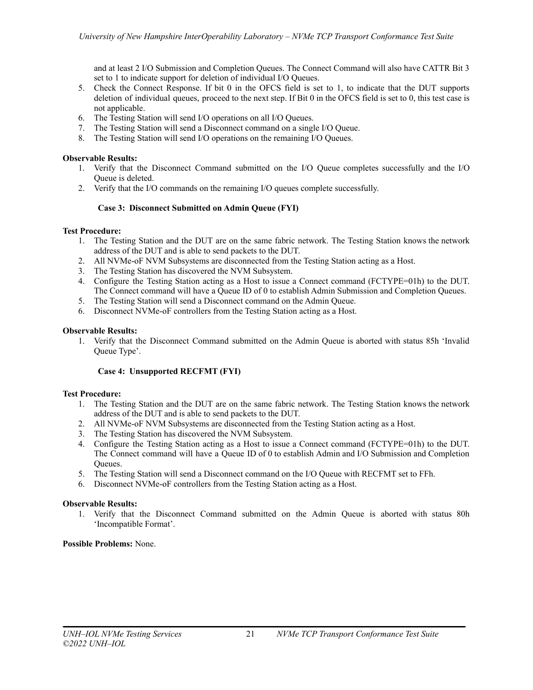and at least 2 I/O Submission and Completion Queues. The Connect Command will also have CATTR Bit 3 set to 1 to indicate support for deletion of individual I/O Queues.

- 5. Check the Connect Response. If bit 0 in the OFCS field is set to 1, to indicate that the DUT supports deletion of individual queues, proceed to the next step. If Bit 0 in the OFCS field is set to 0, this test case is not applicable.
- 6. The Testing Station will send I/O operations on all I/O Queues.
- 7. The Testing Station will send a Disconnect command on a single I/O Queue.
- 8. The Testing Station will send I/O operations on the remaining I/O Queues.

## **Observable Results:**

- 1. Verify that the Disconnect Command submitted on the I/O Queue completes successfully and the I/O Queue is deleted.
- 2. Verify that the I/O commands on the remaining I/O queues complete successfully.

# **Case 3: Disconnect Submitted on Admin Queue (FYI)**

# <span id="page-20-0"></span>**Test Procedure:**

- 1. The Testing Station and the DUT are on the same fabric network. The Testing Station knows the network address of the DUT and is able to send packets to the DUT.
- 2. All NVMe-oF NVM Subsystems are disconnected from the Testing Station acting as a Host.
- 3. The Testing Station has discovered the NVM Subsystem.
- 4. Configure the Testing Station acting as a Host to issue a Connect command (FCTYPE=01h) to the DUT. The Connect command will have a Queue ID of 0 to establish Admin Submission and Completion Queues.
- 5. The Testing Station will send a Disconnect command on the Admin Queue.
- 6. Disconnect NVMe-oF controllers from the Testing Station acting as a Host.

# **Observable Results:**

1. Verify that the Disconnect Command submitted on the Admin Queue is aborted with status 85h 'Invalid Queue Type'.

# **Case 4: Unsupported RECFMT (FYI)**

#### <span id="page-20-1"></span>**Test Procedure:**

- 1. The Testing Station and the DUT are on the same fabric network. The Testing Station knows the network address of the DUT and is able to send packets to the DUT.
- 2. All NVMe-oF NVM Subsystems are disconnected from the Testing Station acting as a Host.
- 3. The Testing Station has discovered the NVM Subsystem.
- 4. Configure the Testing Station acting as a Host to issue a Connect command (FCTYPE=01h) to the DUT. The Connect command will have a Queue ID of 0 to establish Admin and I/O Submission and Completion Queues.
- 5. The Testing Station will send a Disconnect command on the I/O Queue with RECFMT set to FFh.
- 6. Disconnect NVMe-oF controllers from the Testing Station acting as a Host.

#### **Observable Results:**

1. Verify that the Disconnect Command submitted on the Admin Queue is aborted with status 80h 'Incompatible Format'.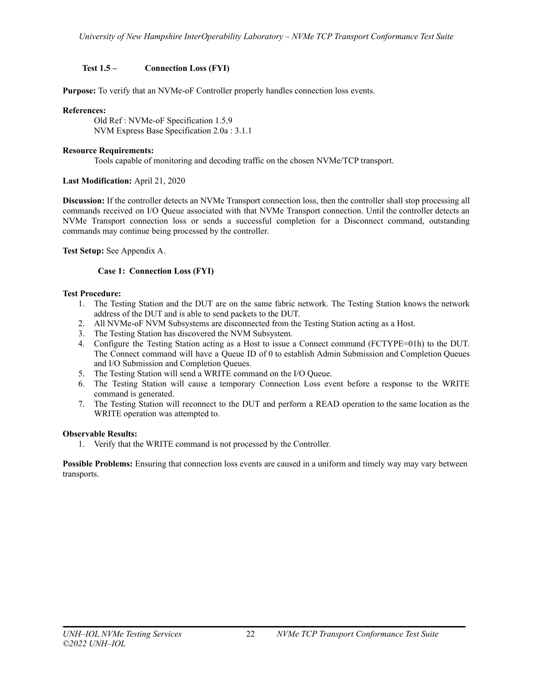# <span id="page-21-0"></span>**Test 1.5 – Connection Loss (FYI)**

**Purpose:** To verify that an NVMe-oF Controller properly handles connection loss events.

## **References:**

Old Ref : NVMe-oF Specification 1.5.9 NVM Express Base Specification 2.0a : 3.1.1

## **Resource Requirements:**

Tools capable of monitoring and decoding traffic on the chosen NVMe/TCP transport.

# **Last Modification:** April 21, 2020

**Discussion:** If the controller detects an NVMe Transport connection loss, then the controller shall stop processing all commands received on I/O Queue associated with that NVMe Transport connection. Until the controller detects an NVMe Transport connection loss or sends a successful completion for a Disconnect command, outstanding commands may continue being processed by the controller.

# <span id="page-21-1"></span>**Test Setup:** See Appendix A.

# **Case 1: Connection Loss (FYI)**

# **Test Procedure:**

- 1. The Testing Station and the DUT are on the same fabric network. The Testing Station knows the network address of the DUT and is able to send packets to the DUT.
- 2. All NVMe-oF NVM Subsystems are disconnected from the Testing Station acting as a Host.
- 3. The Testing Station has discovered the NVM Subsystem.
- 4. Configure the Testing Station acting as a Host to issue a Connect command (FCTYPE=01h) to the DUT. The Connect command will have a Queue ID of 0 to establish Admin Submission and Completion Queues and I/O Submission and Completion Queues.
- 5. The Testing Station will send a WRITE command on the I/O Queue.
- 6. The Testing Station will cause a temporary Connection Loss event before a response to the WRITE command is generated.
- 7. The Testing Station will reconnect to the DUT and perform a READ operation to the same location as the WRITE operation was attempted to.

# **Observable Results:**

1. Verify that the WRITE command is not processed by the Controller.

**Possible Problems:** Ensuring that connection loss events are caused in a uniform and timely way may vary between transports.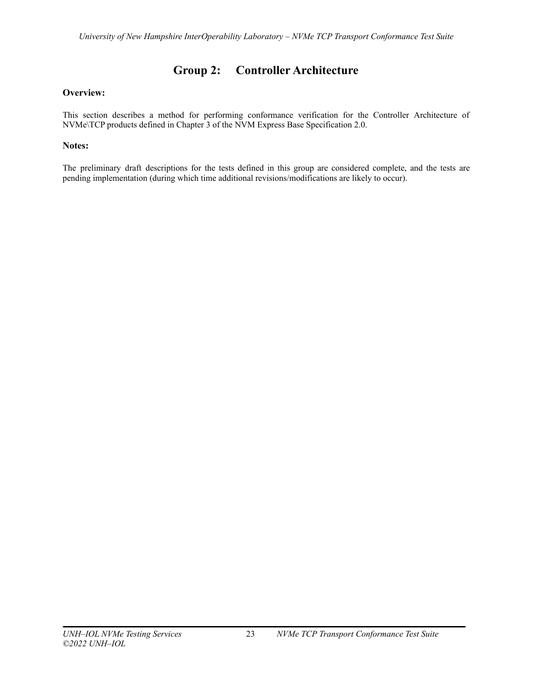# **Group 2: Controller Architecture**

# <span id="page-22-0"></span>**Overview:**

This section describes a method for performing conformance verification for the Controller Architecture of NVMe\TCP products defined in Chapter 3 of the NVM Express Base Specification 2.0.

# **Notes:**

The preliminary draft descriptions for the tests defined in this group are considered complete, and the tests are pending implementation (during which time additional revisions/modifications are likely to occur).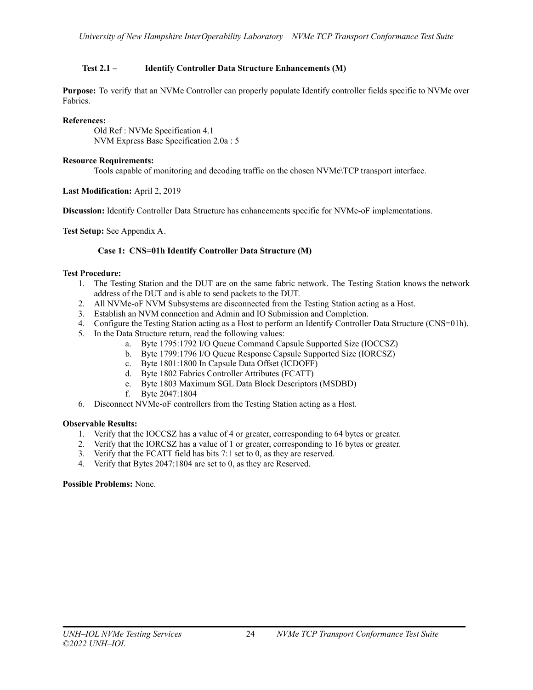# <span id="page-23-0"></span>**Test 2.1 – Identify Controller Data Structure Enhancements (M)**

**Purpose:** To verify that an NVMe Controller can properly populate Identify controller fields specific to NVMe over Fabrics.

# **References:**

Old Ref : NVMe Specification 4.1 NVM Express Base Specification 2.0a : 5

# **Resource Requirements:**

Tools capable of monitoring and decoding traffic on the chosen NVMe\TCP transport interface.

# **Last Modification:** April 2, 2019

**Discussion:** Identify Controller Data Structure has enhancements specific for NVMe-oF implementations.

<span id="page-23-1"></span>**Test Setup:** See Appendix A.

# **Case 1: CNS=01h Identify Controller Data Structure (M)**

# **Test Procedure:**

- 1. The Testing Station and the DUT are on the same fabric network. The Testing Station knows the network address of the DUT and is able to send packets to the DUT.
- 2. All NVMe-oF NVM Subsystems are disconnected from the Testing Station acting as a Host.
- 3. Establish an NVM connection and Admin and IO Submission and Completion.
- 4. Configure the Testing Station acting as a Host to perform an Identify Controller Data Structure (CNS=01h).
- 5. In the Data Structure return, read the following values:
	- a. Byte 1795:1792 I/O Queue Command Capsule Supported Size (IOCCSZ)
	- b. Byte 1799:1796 I/O Queue Response Capsule Supported Size (IORCSZ)
	- c. Byte 1801:1800 In Capsule Data Offset (ICDOFF)
	- d. Byte 1802 Fabrics Controller Attributes (FCATT)
	- e. Byte 1803 Maximum SGL Data Block Descriptors (MSDBD)
	- f. Byte 2047:1804
- 6. Disconnect NVMe-oF controllers from the Testing Station acting as a Host.

#### **Observable Results:**

- 1. Verify that the IOCCSZ has a value of 4 or greater, corresponding to 64 bytes or greater.
- 2. Verify that the IORCSZ has a value of 1 or greater, corresponding to 16 bytes or greater.
- 3. Verify that the FCATT field has bits 7:1 set to 0, as they are reserved.
- 4. Verify that Bytes 2047:1804 are set to 0, as they are Reserved.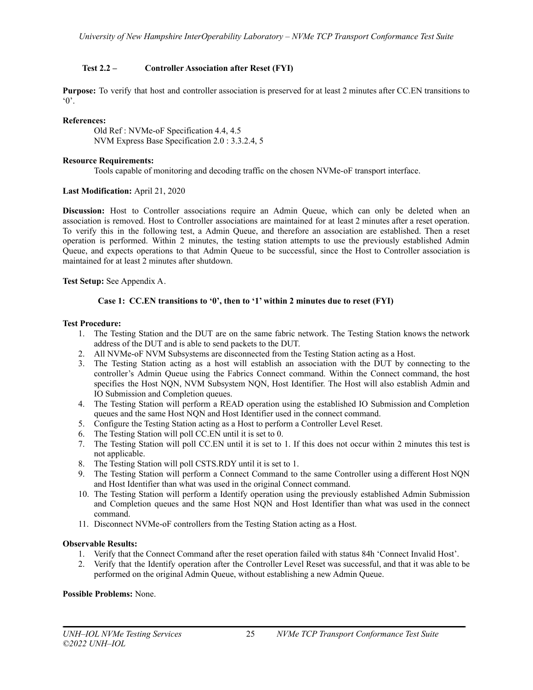# <span id="page-24-0"></span>**Test 2.2 – Controller Association after Reset (FYI)**

**Purpose:** To verify that host and controller association is preserved for at least 2 minutes after CC.EN transitions to  $^{\circ}$  0'.

# **References:**

Old Ref : NVMe-oF Specification 4.4, 4.5 NVM Express Base Specification 2.0 : 3.3.2.4, 5

## **Resource Requirements:**

Tools capable of monitoring and decoding traffic on the chosen NVMe-oF transport interface.

# **Last Modification:** April 21, 2020

**Discussion:** Host to Controller associations require an Admin Queue, which can only be deleted when an association is removed. Host to Controller associations are maintained for at least 2 minutes after a reset operation. To verify this in the following test, a Admin Queue, and therefore an association are established. Then a reset operation is performed. Within 2 minutes, the testing station attempts to use the previously established Admin Queue, and expects operations to that Admin Queue to be successful, since the Host to Controller association is maintained for at least 2 minutes after shutdown.

<span id="page-24-1"></span>**Test Setup:** See Appendix A.

# **Case 1: CC.EN transitions to '0', then to '1' within 2 minutes due to reset (FYI)**

# **Test Procedure:**

- 1. The Testing Station and the DUT are on the same fabric network. The Testing Station knows the network address of the DUT and is able to send packets to the DUT.
- 2. All NVMe-oF NVM Subsystems are disconnected from the Testing Station acting as a Host.
- 3. The Testing Station acting as a host will establish an association with the DUT by connecting to the controller's Admin Queue using the Fabrics Connect command. Within the Connect command, the host specifies the Host NQN, NVM Subsystem NQN, Host Identifier. The Host will also establish Admin and IO Submission and Completion queues.
- 4. The Testing Station will perform a READ operation using the established IO Submission and Completion queues and the same Host NQN and Host Identifier used in the connect command.
- 5. Configure the Testing Station acting as a Host to perform a Controller Level Reset.
- 6. The Testing Station will poll CC.EN until it is set to 0.
- 7. The Testing Station will poll CC.EN until it is set to 1. If this does not occur within 2 minutes this test is not applicable.
- 8. The Testing Station will poll CSTS.RDY until it is set to 1.
- 9. The Testing Station will perform a Connect Command to the same Controller using a different Host NQN and Host Identifier than what was used in the original Connect command.
- 10. The Testing Station will perform a Identify operation using the previously established Admin Submission and Completion queues and the same Host NQN and Host Identifier than what was used in the connect command.
- 11. Disconnect NVMe-oF controllers from the Testing Station acting as a Host.

# **Observable Results:**

- 1. Verify that the Connect Command after the reset operation failed with status 84h 'Connect Invalid Host'.
- 2. Verify that the Identify operation after the Controller Level Reset was successful, and that it was able to be performed on the original Admin Queue, without establishing a new Admin Queue.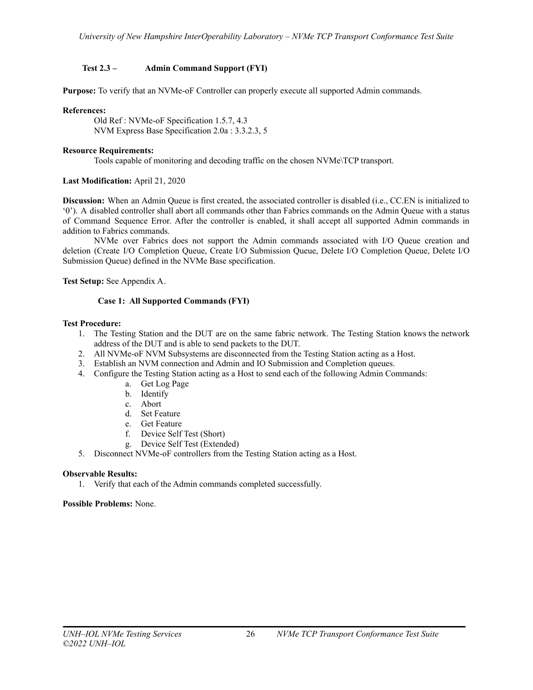# <span id="page-25-0"></span>**Test 2.3 – Admin Command Support (FYI)**

**Purpose:** To verify that an NVMe-oF Controller can properly execute all supported Admin commands.

# **References:**

Old Ref : NVMe-oF Specification 1.5.7, 4.3 NVM Express Base Specification 2.0a : 3.3.2.3, 5

## **Resource Requirements:**

Tools capable of monitoring and decoding traffic on the chosen NVMe\TCP transport.

# **Last Modification:** April 21, 2020

**Discussion:** When an Admin Queue is first created, the associated controller is disabled (i.e., CC.EN is initialized to '0'). A disabled controller shall abort all commands other than Fabrics commands on the Admin Queue with a status of Command Sequence Error. After the controller is enabled, it shall accept all supported Admin commands in addition to Fabrics commands.

NVMe over Fabrics does not support the Admin commands associated with I/O Queue creation and deletion (Create I/O Completion Queue, Create I/O Submission Queue, Delete I/O Completion Queue, Delete I/O Submission Queue) defined in the NVMe Base specification.

<span id="page-25-1"></span>**Test Setup:** See Appendix A.

# **Case 1: All Supported Commands (FYI)**

#### **Test Procedure:**

- 1. The Testing Station and the DUT are on the same fabric network. The Testing Station knows the network address of the DUT and is able to send packets to the DUT.
- 2. All NVMe-oF NVM Subsystems are disconnected from the Testing Station acting as a Host.
- 3. Establish an NVM connection and Admin and IO Submission and Completion queues.
- 4. Configure the Testing Station acting as a Host to send each of the following Admin Commands:
	- a. Get Log Page
	- b. Identify
	- c. Abort
	- d. Set Feature
	- e. Get Feature
	- f. Device Self Test (Short)
	- g. Device Self Test (Extended)
- 5. Disconnect NVMe-oF controllers from the Testing Station acting as a Host.

#### **Observable Results:**

1. Verify that each of the Admin commands completed successfully.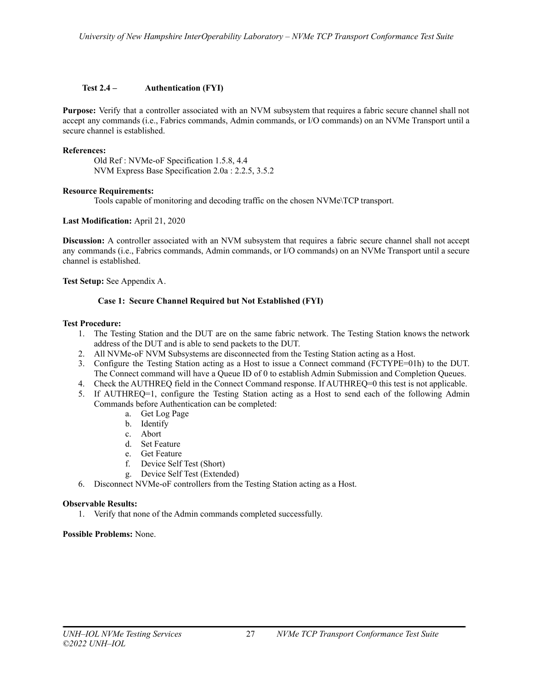# <span id="page-26-0"></span>**Test 2.4 – Authentication (FYI)**

**Purpose:** Verify that a controller associated with an NVM subsystem that requires a fabric secure channel shall not accept any commands (i.e., Fabrics commands, Admin commands, or I/O commands) on an NVMe Transport until a secure channel is established.

## **References:**

Old Ref : NVMe-oF Specification 1.5.8, 4.4 NVM Express Base Specification 2.0a : 2.2.5, 3.5.2

#### **Resource Requirements:**

Tools capable of monitoring and decoding traffic on the chosen NVMe\TCP transport.

# **Last Modification:** April 21, 2020

**Discussion:** A controller associated with an NVM subsystem that requires a fabric secure channel shall not accept any commands (i.e., Fabrics commands, Admin commands, or I/O commands) on an NVMe Transport until a secure channel is established.

<span id="page-26-1"></span>**Test Setup:** See Appendix A.

# **Case 1: Secure Channel Required but Not Established (FYI)**

# **Test Procedure:**

- 1. The Testing Station and the DUT are on the same fabric network. The Testing Station knows the network address of the DUT and is able to send packets to the DUT.
- 2. All NVMe-oF NVM Subsystems are disconnected from the Testing Station acting as a Host.
- 3. Configure the Testing Station acting as a Host to issue a Connect command (FCTYPE=01h) to the DUT. The Connect command will have a Queue ID of 0 to establish Admin Submission and Completion Queues.
- 4. Check the AUTHREQ field in the Connect Command response. If AUTHREQ=0 this test is not applicable.
- 5. If AUTHREQ=1, configure the Testing Station acting as a Host to send each of the following Admin Commands before Authentication can be completed:
	- a. Get Log Page
	- b. Identify
	- c. Abort
	- d. Set Feature
	- e. Get Feature
	- f. Device Self Test (Short)
	- g. Device Self Test (Extended)
- 6. Disconnect NVMe-oF controllers from the Testing Station acting as a Host.

#### **Observable Results:**

1. Verify that none of the Admin commands completed successfully.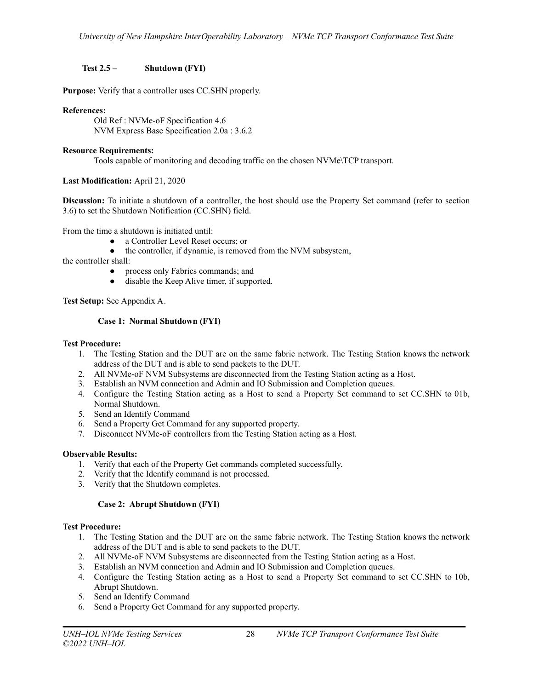# <span id="page-27-0"></span>**Test 2.5 – Shutdown (FYI)**

**Purpose:** Verify that a controller uses CC.SHN properly.

# **References:**

Old Ref : NVMe-oF Specification 4.6 NVM Express Base Specification 2.0a : 3.6.2

# **Resource Requirements:**

Tools capable of monitoring and decoding traffic on the chosen NVMe\TCP transport.

# **Last Modification:** April 21, 2020

**Discussion:** To initiate a shutdown of a controller, the host should use the Property Set command (refer to section 3.6) to set the Shutdown Notification (CC.SHN) field.

From the time a shutdown is initiated until:

- a Controller Level Reset occurs; or
- the controller, if dynamic, is removed from the NVM subsystem,

the controller shall:

- process only Fabrics commands; and
- disable the Keep Alive timer, if supported.

<span id="page-27-1"></span>**Test Setup:** See Appendix A.

# **Case 1: Normal Shutdown (FYI)**

#### **Test Procedure:**

- 1. The Testing Station and the DUT are on the same fabric network. The Testing Station knows the network address of the DUT and is able to send packets to the DUT.
- 2. All NVMe-oF NVM Subsystems are disconnected from the Testing Station acting as a Host.
- 3. Establish an NVM connection and Admin and IO Submission and Completion queues.
- 4. Configure the Testing Station acting as a Host to send a Property Set command to set CC.SHN to 01b, Normal Shutdown.
- 5. Send an Identify Command
- 6. Send a Property Get Command for any supported property.
- 7. Disconnect NVMe-oF controllers from the Testing Station acting as a Host.

# **Observable Results:**

- 1. Verify that each of the Property Get commands completed successfully.
- 2. Verify that the Identify command is not processed.
- 3. Verify that the Shutdown completes.

# **Case 2: Abrupt Shutdown (FYI)**

#### <span id="page-27-2"></span>**Test Procedure:**

- 1. The Testing Station and the DUT are on the same fabric network. The Testing Station knows the network address of the DUT and is able to send packets to the DUT.
- 2. All NVMe-oF NVM Subsystems are disconnected from the Testing Station acting as a Host.
- 3. Establish an NVM connection and Admin and IO Submission and Completion queues.
- 4. Configure the Testing Station acting as a Host to send a Property Set command to set CC.SHN to 10b, Abrupt Shutdown.
- 5. Send an Identify Command
- 6. Send a Property Get Command for any supported property.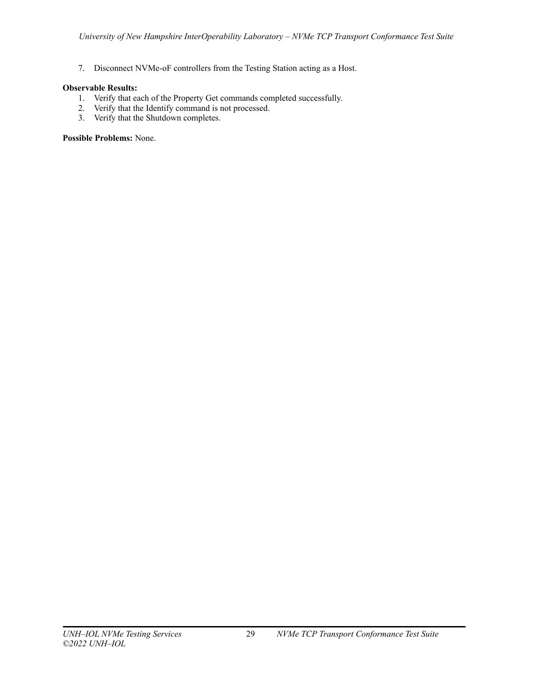7. Disconnect NVMe-oF controllers from the Testing Station acting as a Host.

# **Observable Results:**

- 1. Verify that each of the Property Get commands completed successfully.
- 2. Verify that the Identify command is not processed.
- 3. Verify that the Shutdown completes.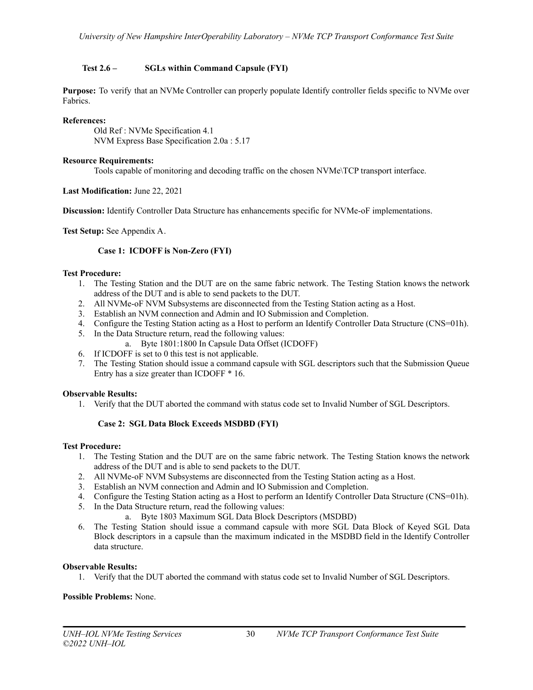# <span id="page-29-0"></span>**Test 2.6 – SGLs within Command Capsule (FYI)**

**Purpose:** To verify that an NVMe Controller can properly populate Identify controller fields specific to NVMe over Fabrics.

# **References:**

Old Ref : NVMe Specification 4.1 NVM Express Base Specification 2.0a : 5.17

# **Resource Requirements:**

Tools capable of monitoring and decoding traffic on the chosen NVMe\TCP transport interface.

# **Last Modification:** June 22, 2021

**Discussion:** Identify Controller Data Structure has enhancements specific for NVMe-oF implementations.

<span id="page-29-1"></span>**Test Setup:** See Appendix A.

# **Case 1: ICDOFF is Non-Zero (FYI)**

# **Test Procedure:**

- 1. The Testing Station and the DUT are on the same fabric network. The Testing Station knows the network address of the DUT and is able to send packets to the DUT.
- 2. All NVMe-oF NVM Subsystems are disconnected from the Testing Station acting as a Host.
- 3. Establish an NVM connection and Admin and IO Submission and Completion.
- 4. Configure the Testing Station acting as a Host to perform an Identify Controller Data Structure (CNS=01h).
- 5. In the Data Structure return, read the following values:
	- a. Byte 1801:1800 In Capsule Data Offset (ICDOFF)
- 6. If ICDOFF is set to 0 this test is not applicable.
- 7. The Testing Station should issue a command capsule with SGL descriptors such that the Submission Queue Entry has a size greater than ICDOFF \* 16.

#### **Observable Results:**

1. Verify that the DUT aborted the command with status code set to Invalid Number of SGL Descriptors.

# **Case 2: SGL Data Block Exceeds MSDBD (FYI)**

#### <span id="page-29-2"></span>**Test Procedure:**

- 1. The Testing Station and the DUT are on the same fabric network. The Testing Station knows the network address of the DUT and is able to send packets to the DUT.
- 2. All NVMe-oF NVM Subsystems are disconnected from the Testing Station acting as a Host.
- 3. Establish an NVM connection and Admin and IO Submission and Completion.
- 4. Configure the Testing Station acting as a Host to perform an Identify Controller Data Structure (CNS=01h).
- 5. In the Data Structure return, read the following values:
	- a. Byte 1803 Maximum SGL Data Block Descriptors (MSDBD)
- 6. The Testing Station should issue a command capsule with more SGL Data Block of Keyed SGL Data Block descriptors in a capsule than the maximum indicated in the MSDBD field in the Identify Controller data structure.

#### **Observable Results:**

1. Verify that the DUT aborted the command with status code set to Invalid Number of SGL Descriptors.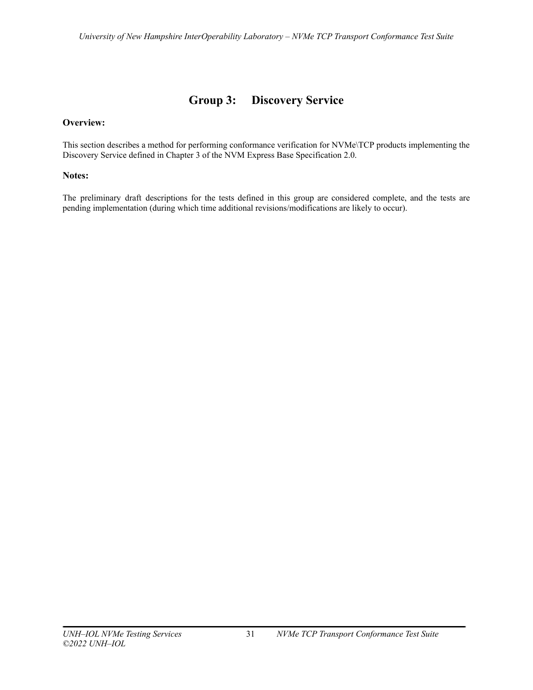# **Group 3: Discovery Service**

# <span id="page-30-0"></span>**Overview:**

This section describes a method for performing conformance verification for NVMe\TCP products implementing the Discovery Service defined in Chapter 3 of the NVM Express Base Specification 2.0.

# **Notes:**

The preliminary draft descriptions for the tests defined in this group are considered complete, and the tests are pending implementation (during which time additional revisions/modifications are likely to occur).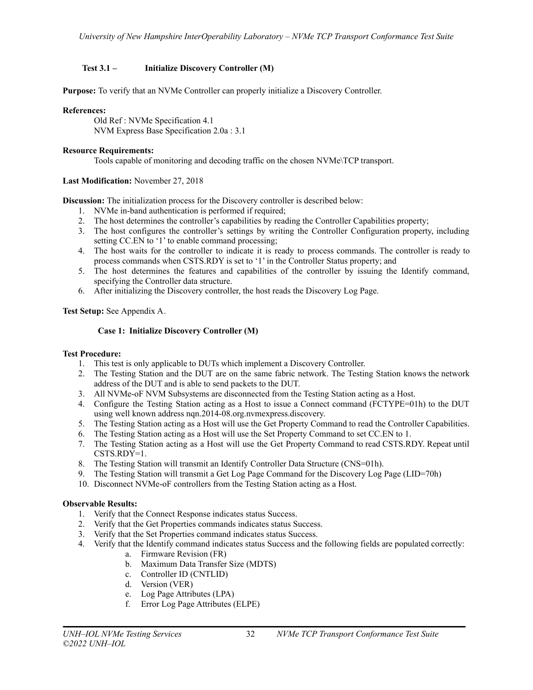# <span id="page-31-0"></span>**Test 3.1 – Initialize Discovery Controller (M)**

**Purpose:** To verify that an NVMe Controller can properly initialize a Discovery Controller.

## **References:**

Old Ref : NVMe Specification 4.1 NVM Express Base Specification 2.0a : 3.1

# **Resource Requirements:**

Tools capable of monitoring and decoding traffic on the chosen NVMe\TCP transport.

# **Last Modification:** November 27, 2018

**Discussion:** The initialization process for the Discovery controller is described below:

- 1. NVMe in-band authentication is performed if required;
- 2. The host determines the controller's capabilities by reading the Controller Capabilities property;
- 3. The host configures the controller's settings by writing the Controller Configuration property, including setting CC.EN to '1' to enable command processing;
- 4. The host waits for the controller to indicate it is ready to process commands. The controller is ready to process commands when CSTS.RDY is set to '1' in the Controller Status property; and
- 5. The host determines the features and capabilities of the controller by issuing the Identify command, specifying the Controller data structure.
- 6. After initializing the Discovery controller, the host reads the Discovery Log Page.

# <span id="page-31-1"></span>**Test Setup:** See Appendix A.

# **Case 1: Initialize Discovery Controller (M)**

#### **Test Procedure:**

- 1. This test is only applicable to DUTs which implement a Discovery Controller.
- 2. The Testing Station and the DUT are on the same fabric network. The Testing Station knows the network address of the DUT and is able to send packets to the DUT.
- 3. All NVMe-oF NVM Subsystems are disconnected from the Testing Station acting as a Host.
- 4. Configure the Testing Station acting as a Host to issue a Connect command (FCTYPE=01h) to the DUT using well known address nqn.2014-08.org.nvmexpress.discovery.
- 5. The Testing Station acting as a Host will use the Get Property Command to read the Controller Capabilities.
- 6. The Testing Station acting as a Host will use the Set Property Command to set CC.EN to 1.
- 7. The Testing Station acting as a Host will use the Get Property Command to read CSTS.RDY. Repeat until CSTS.RDY=1.
- 8. The Testing Station will transmit an Identify Controller Data Structure (CNS=01h).
- 9. The Testing Station will transmit a Get Log Page Command for the Discovery Log Page (LID=70h)
- 10. Disconnect NVMe-oF controllers from the Testing Station acting as a Host.

#### **Observable Results:**

- 1. Verify that the Connect Response indicates status Success.
- 2. Verify that the Get Properties commands indicates status Success.
- 3. Verify that the Set Properties command indicates status Success.
- 4. Verify that the Identify command indicates status Success and the following fields are populated correctly:
	- a. Firmware Revision (FR)
	- b. Maximum Data Transfer Size (MDTS)
	- c. Controller ID (CNTLID)
	- d. Version (VER)
	- e. Log Page Attributes (LPA)
	- f. Error Log Page Attributes (ELPE)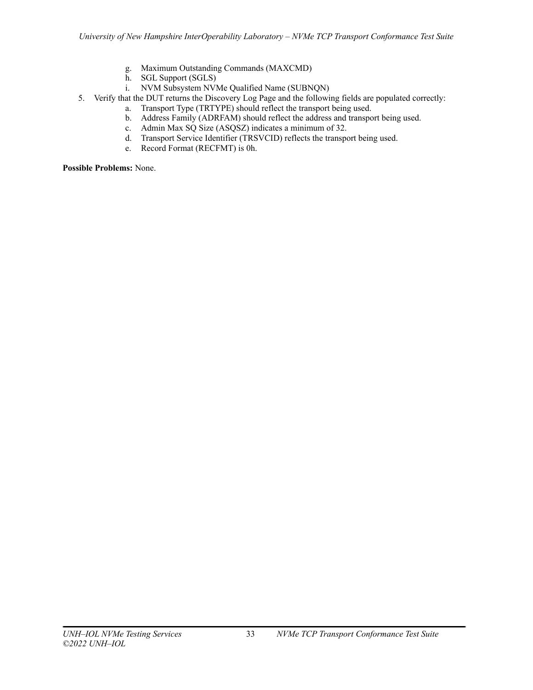- g. Maximum Outstanding Commands (MAXCMD)
- h. SGL Support (SGLS)
- i. NVM Subsystem NVMe Qualified Name (SUBNQN)
- 5. Verify that the DUT returns the Discovery Log Page and the following fields are populated correctly:
	- a. Transport Type (TRTYPE) should reflect the transport being used.
		- b. Address Family (ADRFAM) should reflect the address and transport being used.
		- c. Admin Max SQ Size (ASQSZ) indicates a minimum of 32.
		- d. Transport Service Identifier (TRSVCID) reflects the transport being used.
		- e. Record Format (RECFMT) is 0h.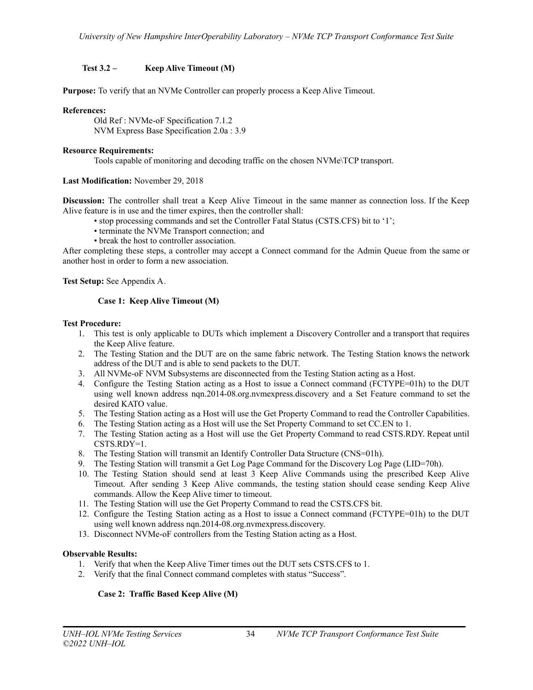# <span id="page-33-0"></span>**Test 3.2 – Keep Alive Timeout (M)**

**Purpose:** To verify that an NVMe Controller can properly process a Keep Alive Timeout.

## **References:**

Old Ref : NVMe-oF Specification 7.1.2 NVM Express Base Specification 2.0a : 3.9

## **Resource Requirements:**

Tools capable of monitoring and decoding traffic on the chosen NVMe\TCP transport.

# **Last Modification:** November 29, 2018

**Discussion:** The controller shall treat a Keep Alive Timeout in the same manner as connection loss. If the Keep Alive feature is in use and the timer expires, then the controller shall:

- stop processing commands and set the Controller Fatal Status (CSTS.CFS) bit to '1';
- terminate the NVMe Transport connection; and
- break the host to controller association.

After completing these steps, a controller may accept a Connect command for the Admin Queue from the same or another host in order to form a new association.

<span id="page-33-1"></span>**Test Setup:** See Appendix A.

# **Case 1: Keep Alive Timeout (M)**

#### **Test Procedure:**

- 1. This test is only applicable to DUTs which implement a Discovery Controller and a transport that requires the Keep Alive feature.
- 2. The Testing Station and the DUT are on the same fabric network. The Testing Station knows the network address of the DUT and is able to send packets to the DUT.
- 3. All NVMe-oF NVM Subsystems are disconnected from the Testing Station acting as a Host.
- 4. Configure the Testing Station acting as a Host to issue a Connect command (FCTYPE=01h) to the DUT using well known address nqn.2014-08.org.nvmexpress.discovery and a Set Feature command to set the desired KATO value.
- 5. The Testing Station acting as a Host will use the Get Property Command to read the Controller Capabilities.
- 6. The Testing Station acting as a Host will use the Set Property Command to set CC.EN to 1.
- 7. The Testing Station acting as a Host will use the Get Property Command to read CSTS.RDY. Repeat until CSTS.RDY=1.
- 8. The Testing Station will transmit an Identify Controller Data Structure (CNS=01h).
- 9. The Testing Station will transmit a Get Log Page Command for the Discovery Log Page (LID=70h).
- 10. The Testing Station should send at least 3 Keep Alive Commands using the prescribed Keep Alive Timeout. After sending 3 Keep Alive commands, the testing station should cease sending Keep Alive commands. Allow the Keep Alive timer to timeout.
- 11. The Testing Station will use the Get Property Command to read the CSTS.CFS bit.
- 12. Configure the Testing Station acting as a Host to issue a Connect command (FCTYPE=01h) to the DUT using well known address nqn.2014-08.org.nvmexpress.discovery.
- 13. Disconnect NVMe-oF controllers from the Testing Station acting as a Host.

# **Observable Results:**

- 1. Verify that when the Keep Alive Timer times out the DUT sets CSTS.CFS to 1.
- <span id="page-33-2"></span>2. Verify that the final Connect command completes with status "Success".

# **Case 2: Traffic Based Keep Alive (M)**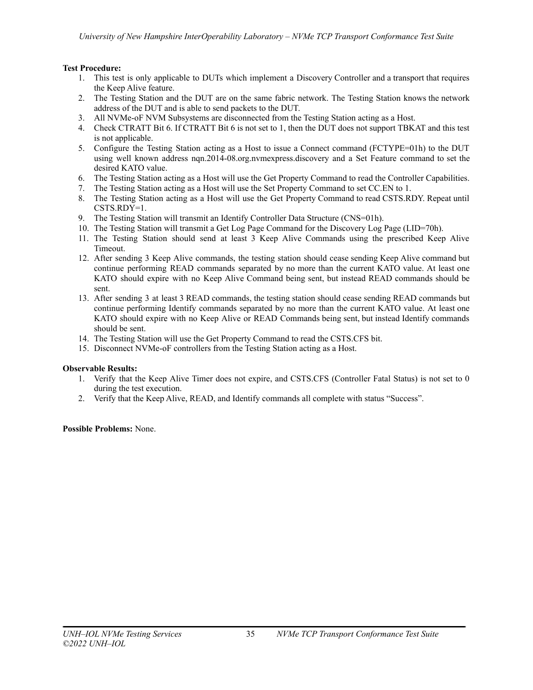# **Test Procedure:**

- 1. This test is only applicable to DUTs which implement a Discovery Controller and a transport that requires the Keep Alive feature.
- 2. The Testing Station and the DUT are on the same fabric network. The Testing Station knows the network address of the DUT and is able to send packets to the DUT.
- 3. All NVMe-oF NVM Subsystems are disconnected from the Testing Station acting as a Host.
- 4. Check CTRATT Bit 6. If CTRATT Bit 6 is not set to 1, then the DUT does not support TBKAT and this test is not applicable.
- 5. Configure the Testing Station acting as a Host to issue a Connect command (FCTYPE=01h) to the DUT using well known address nqn.2014-08.org.nvmexpress.discovery and a Set Feature command to set the desired KATO value.
- 6. The Testing Station acting as a Host will use the Get Property Command to read the Controller Capabilities.
- 7. The Testing Station acting as a Host will use the Set Property Command to set CC.EN to 1.
- 8. The Testing Station acting as a Host will use the Get Property Command to read CSTS.RDY. Repeat until CSTS.RDY=1.
- 9. The Testing Station will transmit an Identify Controller Data Structure (CNS=01h).
- 10. The Testing Station will transmit a Get Log Page Command for the Discovery Log Page (LID=70h).
- 11. The Testing Station should send at least 3 Keep Alive Commands using the prescribed Keep Alive Timeout.
- 12. After sending 3 Keep Alive commands, the testing station should cease sending Keep Alive command but continue performing READ commands separated by no more than the current KATO value. At least one KATO should expire with no Keep Alive Command being sent, but instead READ commands should be sent.
- 13. After sending 3 at least 3 READ commands, the testing station should cease sending READ commands but continue performing Identify commands separated by no more than the current KATO value. At least one KATO should expire with no Keep Alive or READ Commands being sent, but instead Identify commands should be sent.
- 14. The Testing Station will use the Get Property Command to read the CSTS.CFS bit.
- 15. Disconnect NVMe-oF controllers from the Testing Station acting as a Host.

#### **Observable Results:**

- 1. Verify that the Keep Alive Timer does not expire, and CSTS.CFS (Controller Fatal Status) is not set to 0 during the test execution.
- 2. Verify that the Keep Alive, READ, and Identify commands all complete with status "Success".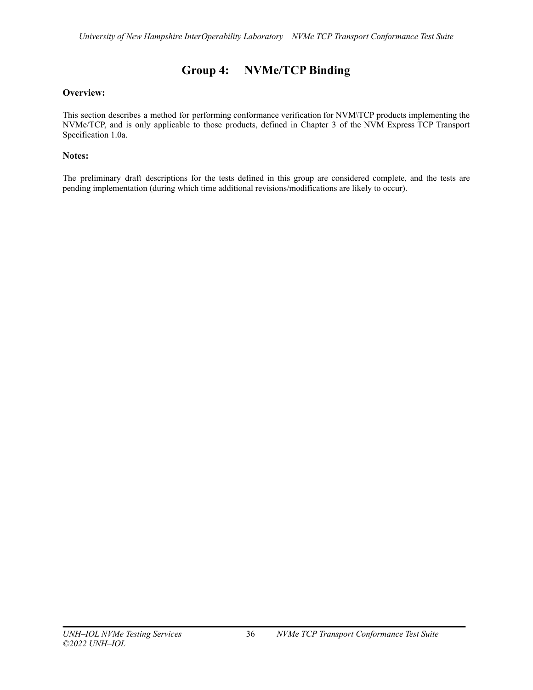# **Group 4: NVMe/TCP Binding**

# <span id="page-35-0"></span>**Overview:**

This section describes a method for performing conformance verification for NVM\TCP products implementing the NVMe/TCP, and is only applicable to those products, defined in Chapter 3 of the NVM Express TCP Transport Specification 1.0a.

# **Notes:**

The preliminary draft descriptions for the tests defined in this group are considered complete, and the tests are pending implementation (during which time additional revisions/modifications are likely to occur).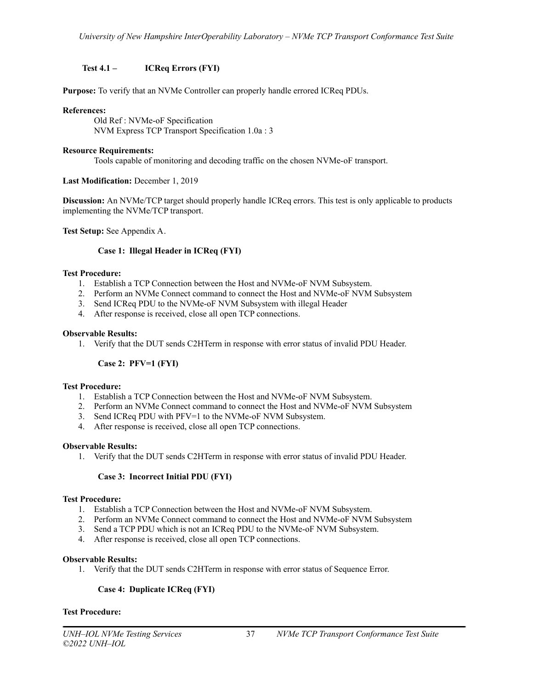# <span id="page-36-0"></span>**Test 4.1 – ICReq Errors (FYI)**

**Purpose:** To verify that an NVMe Controller can properly handle errored ICReq PDUs.

#### **References:**

Old Ref : NVMe-oF Specification NVM Express TCP Transport Specification 1.0a : 3

#### **Resource Requirements:**

Tools capable of monitoring and decoding traffic on the chosen NVMe-oF transport.

# **Last Modification:** December 1, 2019

**Discussion:** An NVMe/TCP target should properly handle ICReq errors. This test is only applicable to products implementing the NVMe/TCP transport.

<span id="page-36-1"></span>**Test Setup:** See Appendix A.

# **Case 1: Illegal Header in ICReq (FYI)**

# **Test Procedure:**

- 1. Establish a TCP Connection between the Host and NVMe-oF NVM Subsystem.
- 2. Perform an NVMe Connect command to connect the Host and NVMe-oF NVM Subsystem
- 3. Send ICReq PDU to the NVMe-oF NVM Subsystem with illegal Header
- 4. After response is received, close all open TCP connections.

# **Observable Results:**

1. Verify that the DUT sends C2HTerm in response with error status of invalid PDU Header.

# **Case 2: PFV=1 (FYI)**

#### <span id="page-36-2"></span>**Test Procedure:**

- 1. Establish a TCP Connection between the Host and NVMe-oF NVM Subsystem.
- 2. Perform an NVMe Connect command to connect the Host and NVMe-oF NVM Subsystem
- 3. Send ICReq PDU with PFV=1 to the NVMe-oF NVM Subsystem.
- 4. After response is received, close all open TCP connections.

#### **Observable Results:**

1. Verify that the DUT sends C2HTerm in response with error status of invalid PDU Header.

# **Case 3: Incorrect Initial PDU (FYI)**

#### <span id="page-36-3"></span>**Test Procedure:**

- 1. Establish a TCP Connection between the Host and NVMe-oF NVM Subsystem.
- 2. Perform an NVMe Connect command to connect the Host and NVMe-oF NVM Subsystem
- 3. Send a TCP PDU which is not an ICReq PDU to the NVMe-oF NVM Subsystem.
- 4. After response is received, close all open TCP connections.

#### **Observable Results:**

1. Verify that the DUT sends C2HTerm in response with error status of Sequence Error.

# **Case 4: Duplicate ICReq (FYI)**

#### <span id="page-36-4"></span>**Test Procedure:**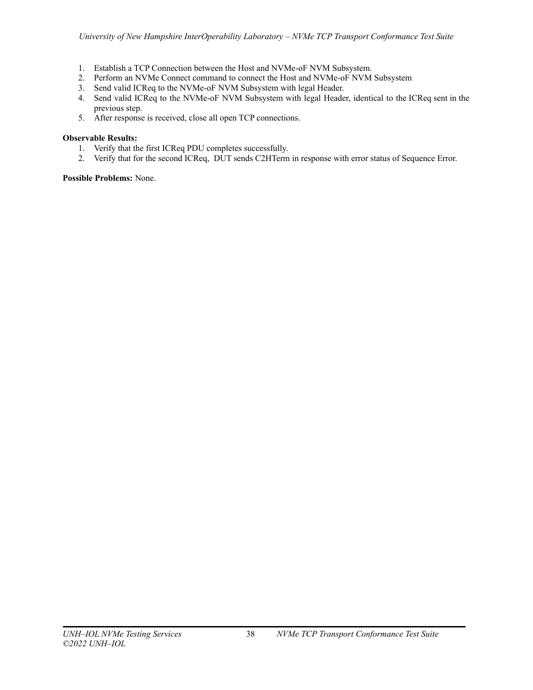- 1. Establish a TCP Connection between the Host and NVMe-oF NVM Subsystem.
- 2. Perform an NVMe Connect command to connect the Host and NVMe-oF NVM Subsystem
- 3. Send valid ICReq to the NVMe-oF NVM Subsystem with legal Header.
- 4. Send valid ICReq to the NVMe-oF NVM Subsystem with legal Header, identical to the ICReq sent in the previous step.
- 5. After response is received, close all open TCP connections.

# **Observable Results:**

- 1. Verify that the first ICReq PDU completes successfully.
- 2. Verify that for the second ICReq, DUT sends C2HTerm in response with error status of Sequence Error.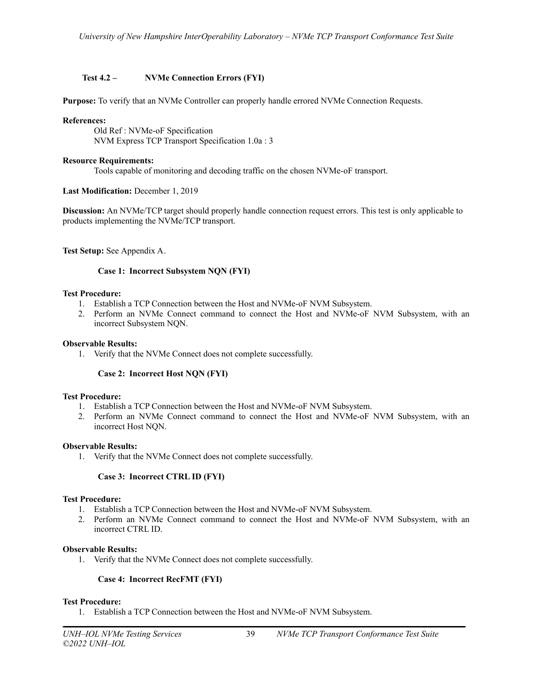# <span id="page-38-0"></span>**Test 4.2 – NVMe Connection Errors (FYI)**

**Purpose:** To verify that an NVMe Controller can properly handle errored NVMe Connection Requests.

## **References:**

Old Ref : NVMe-oF Specification NVM Express TCP Transport Specification 1.0a : 3

#### **Resource Requirements:**

Tools capable of monitoring and decoding traffic on the chosen NVMe-oF transport.

#### **Last Modification:** December 1, 2019

**Discussion:** An NVMe/TCP target should properly handle connection request errors. This test is only applicable to products implementing the NVMe/TCP transport.

<span id="page-38-1"></span>**Test Setup:** See Appendix A.

#### **Case 1: Incorrect Subsystem NQN (FYI)**

#### **Test Procedure:**

- 1. Establish a TCP Connection between the Host and NVMe-oF NVM Subsystem.
- 2. Perform an NVMe Connect command to connect the Host and NVMe-oF NVM Subsystem, with an incorrect Subsystem NQN.

#### **Observable Results:**

1. Verify that the NVMe Connect does not complete successfully.

#### **Case 2: Incorrect Host NQN (FYI)**

#### <span id="page-38-2"></span>**Test Procedure:**

- 1. Establish a TCP Connection between the Host and NVMe-oF NVM Subsystem.
- 2. Perform an NVMe Connect command to connect the Host and NVMe-oF NVM Subsystem, with an incorrect Host NQN.

#### **Observable Results:**

1. Verify that the NVMe Connect does not complete successfully.

#### **Case 3: Incorrect CTRL ID (FYI)**

#### <span id="page-38-3"></span>**Test Procedure:**

- 1. Establish a TCP Connection between the Host and NVMe-oF NVM Subsystem.
- 2. Perform an NVMe Connect command to connect the Host and NVMe-oF NVM Subsystem, with an incorrect CTRL ID.

#### **Observable Results:**

1. Verify that the NVMe Connect does not complete successfully.

## **Case 4: Incorrect RecFMT (FYI)**

#### <span id="page-38-4"></span>**Test Procedure:**

1. Establish a TCP Connection between the Host and NVMe-oF NVM Subsystem.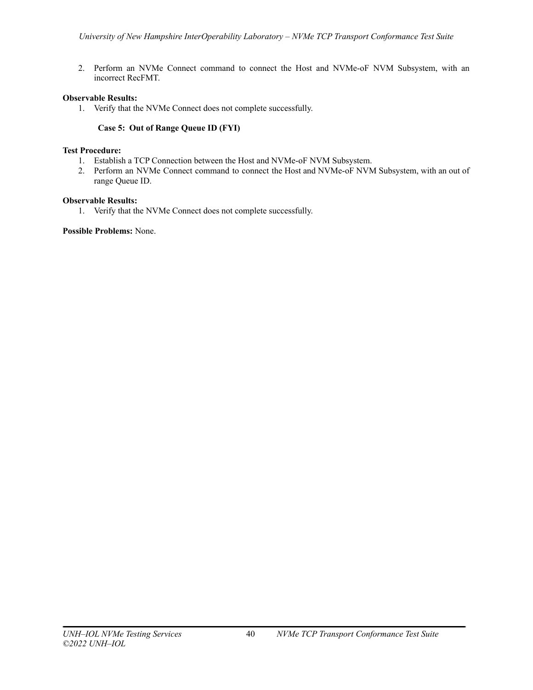2. Perform an NVMe Connect command to connect the Host and NVMe-oF NVM Subsystem, with an incorrect RecFMT.

# **Observable Results:**

1. Verify that the NVMe Connect does not complete successfully.

# **Case 5: Out of Range Queue ID (FYI)**

#### <span id="page-39-0"></span>**Test Procedure:**

- 1. Establish a TCP Connection between the Host and NVMe-oF NVM Subsystem.
- 2. Perform an NVMe Connect command to connect the Host and NVMe-oF NVM Subsystem, with an out of range Queue ID.

# **Observable Results:**

1. Verify that the NVMe Connect does not complete successfully.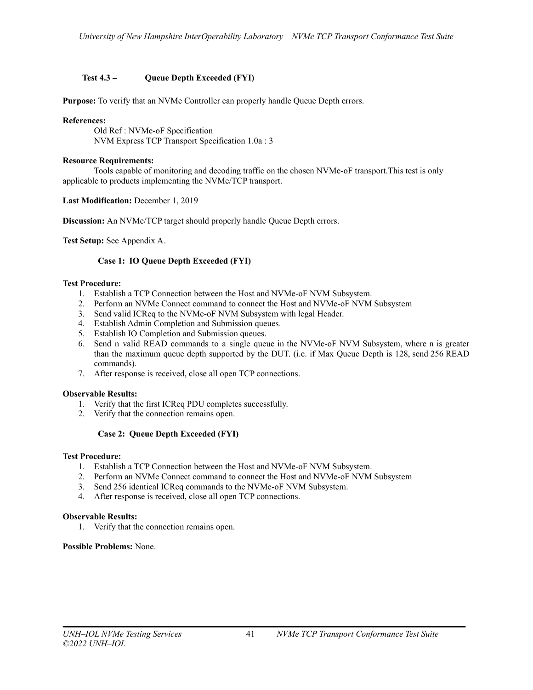# <span id="page-40-0"></span>**Test 4.3 – Queue Depth Exceeded (FYI)**

**Purpose:** To verify that an NVMe Controller can properly handle Queue Depth errors.

# **References:**

Old Ref : NVMe-oF Specification NVM Express TCP Transport Specification 1.0a : 3

## **Resource Requirements:**

Tools capable of monitoring and decoding traffic on the chosen NVMe-oF transport.This test is only applicable to products implementing the NVMe/TCP transport.

**Last Modification:** December 1, 2019

**Discussion:** An NVMe/TCP target should properly handle Queue Depth errors.

<span id="page-40-1"></span>**Test Setup:** See Appendix A.

# **Case 1: IO Queue Depth Exceeded (FYI)**

#### **Test Procedure:**

- 1. Establish a TCP Connection between the Host and NVMe-oF NVM Subsystem.
- 2. Perform an NVMe Connect command to connect the Host and NVMe-oF NVM Subsystem
- 3. Send valid ICReq to the NVMe-oF NVM Subsystem with legal Header.
- 4. Establish Admin Completion and Submission queues.
- 5. Establish IO Completion and Submission queues.
- 6. Send n valid READ commands to a single queue in the NVMe-oF NVM Subsystem, where n is greater than the maximum queue depth supported by the DUT. (i.e. if Max Queue Depth is 128, send 256 READ commands).
- 7. After response is received, close all open TCP connections.

#### **Observable Results:**

- 1. Verify that the first ICReq PDU completes successfully.
- 2. Verify that the connection remains open.

# **Case 2: Queue Depth Exceeded (FYI)**

#### <span id="page-40-2"></span>**Test Procedure:**

- 1. Establish a TCP Connection between the Host and NVMe-oF NVM Subsystem.
- 2. Perform an NVMe Connect command to connect the Host and NVMe-oF NVM Subsystem
- 3. Send 256 identical ICReq commands to the NVMe-oF NVM Subsystem.
- 4. After response is received, close all open TCP connections.

## **Observable Results:**

1. Verify that the connection remains open.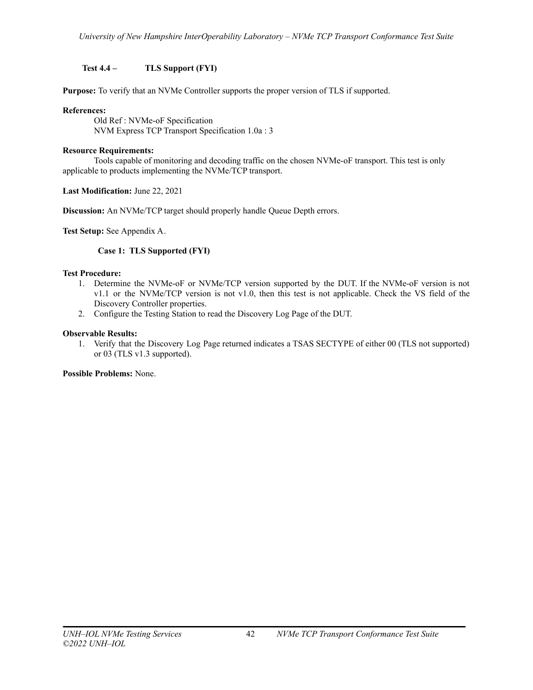# <span id="page-41-0"></span>**Test 4.4 – TLS Support (FYI)**

**Purpose:** To verify that an NVMe Controller supports the proper version of TLS if supported.

# **References:**

Old Ref : NVMe-oF Specification NVM Express TCP Transport Specification 1.0a : 3

## **Resource Requirements:**

Tools capable of monitoring and decoding traffic on the chosen NVMe-oF transport. This test is only applicable to products implementing the NVMe/TCP transport.

**Last Modification:** June 22, 2021

**Discussion:** An NVMe/TCP target should properly handle Queue Depth errors.

<span id="page-41-1"></span>**Test Setup:** See Appendix A.

# **Case 1: TLS Supported (FYI)**

# **Test Procedure:**

- 1. Determine the NVMe-oF or NVMe/TCP version supported by the DUT. If the NVMe-oF version is not v1.1 or the NVMe/TCP version is not v1.0, then this test is not applicable. Check the VS field of the Discovery Controller properties.
- 2. Configure the Testing Station to read the Discovery Log Page of the DUT.

# **Observable Results:**

1. Verify that the Discovery Log Page returned indicates a TSAS SECTYPE of either 00 (TLS not supported) or 03 (TLS v1.3 supported).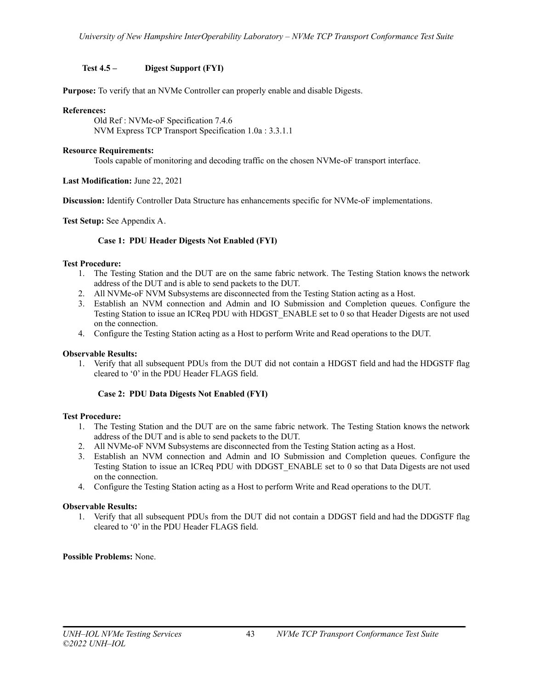# <span id="page-42-0"></span>**Test 4.5 – Digest Support (FYI)**

**Purpose:** To verify that an NVMe Controller can properly enable and disable Digests.

## **References:**

Old Ref : NVMe-oF Specification 7.4.6 NVM Express TCP Transport Specification 1.0a : 3.3.1.1

## **Resource Requirements:**

Tools capable of monitoring and decoding traffic on the chosen NVMe-oF transport interface.

# **Last Modification:** June 22, 2021

**Discussion:** Identify Controller Data Structure has enhancements specific for NVMe-oF implementations.

<span id="page-42-1"></span>**Test Setup:** See Appendix A.

# **Case 1: PDU Header Digests Not Enabled (FYI)**

# **Test Procedure:**

- 1. The Testing Station and the DUT are on the same fabric network. The Testing Station knows the network address of the DUT and is able to send packets to the DUT.
- 2. All NVMe-oF NVM Subsystems are disconnected from the Testing Station acting as a Host.
- 3. Establish an NVM connection and Admin and IO Submission and Completion queues. Configure the Testing Station to issue an ICReq PDU with HDGST\_ENABLE set to 0 so that Header Digests are not used on the connection.
- 4. Configure the Testing Station acting as a Host to perform Write and Read operations to the DUT.

# **Observable Results:**

1. Verify that all subsequent PDUs from the DUT did not contain a HDGST field and had the HDGSTF flag cleared to '0' in the PDU Header FLAGS field.

# **Case 2: PDU Data Digests Not Enabled (FYI)**

#### <span id="page-42-2"></span>**Test Procedure:**

- 1. The Testing Station and the DUT are on the same fabric network. The Testing Station knows the network address of the DUT and is able to send packets to the DUT.
- 2. All NVMe-oF NVM Subsystems are disconnected from the Testing Station acting as a Host.
- 3. Establish an NVM connection and Admin and IO Submission and Completion queues. Configure the Testing Station to issue an ICReq PDU with DDGST\_ENABLE set to 0 so that Data Digests are not used on the connection.
- 4. Configure the Testing Station acting as a Host to perform Write and Read operations to the DUT.

# **Observable Results:**

1. Verify that all subsequent PDUs from the DUT did not contain a DDGST field and had the DDGSTF flag cleared to '0' in the PDU Header FLAGS field.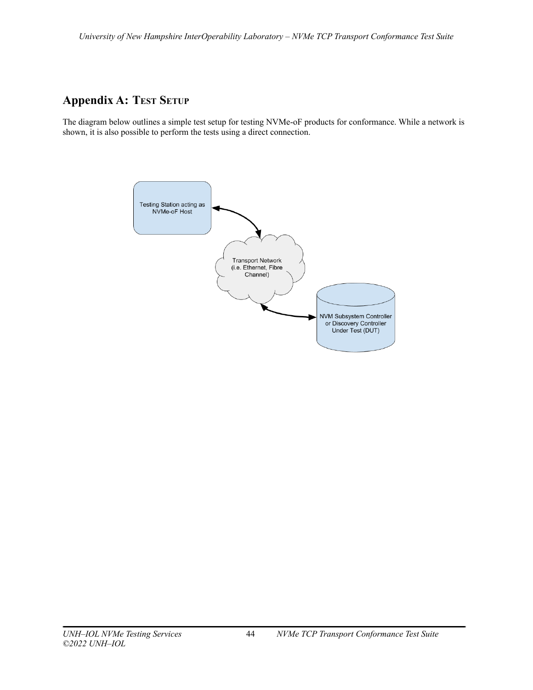# <span id="page-43-0"></span>**Appendix A: TEST SETUP**

The diagram below outlines a simple test setup for testing NVMe-oF products for conformance. While a network is shown, it is also possible to perform the tests using a direct connection.

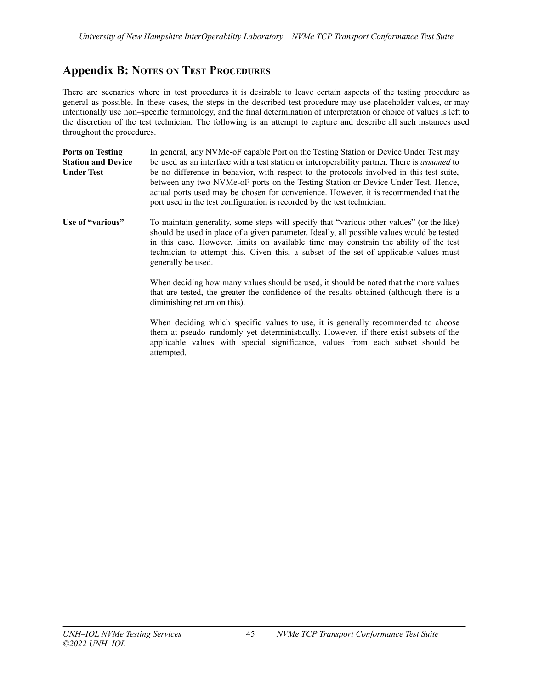# <span id="page-44-0"></span>**Appendix B: NOTES ON TEST PROCEDURES**

There are scenarios where in test procedures it is desirable to leave certain aspects of the testing procedure as general as possible. In these cases, the steps in the described test procedure may use placeholder values, or may intentionally use non–specific terminology, and the final determination of interpretation or choice of values is left to the discretion of the test technician. The following is an attempt to capture and describe all such instances used throughout the procedures.

| <b>Ports on Testing</b>   | In general, any NVMe-oF capable Port on the Testing Station or Device Under Test may                                                                                                                                                                                                                                                             |
|---------------------------|--------------------------------------------------------------------------------------------------------------------------------------------------------------------------------------------------------------------------------------------------------------------------------------------------------------------------------------------------|
| <b>Station and Device</b> | be used as an interface with a test station or interoperability partner. There is <i>assumed</i> to                                                                                                                                                                                                                                              |
| <b>Under Test</b>         | be no difference in behavior, with respect to the protocols involved in this test suite,<br>between any two NVMe-oF ports on the Testing Station or Device Under Test. Hence,<br>actual ports used may be chosen for convenience. However, it is recommended that the<br>port used in the test configuration is recorded by the test technician. |

**Use of "various"** To maintain generality, some steps will specify that "various other values" (or the like) should be used in place of a given parameter. Ideally, all possible values would be tested in this case. However, limits on available time may constrain the ability of the test technician to attempt this. Given this, a subset of the set of applicable values must generally be used.

> When deciding how many values should be used, it should be noted that the more values that are tested, the greater the confidence of the results obtained (although there is a diminishing return on this).

> When deciding which specific values to use, it is generally recommended to choose them at pseudo–randomly yet deterministically. However, if there exist subsets of the applicable values with special significance, values from each subset should be attempted.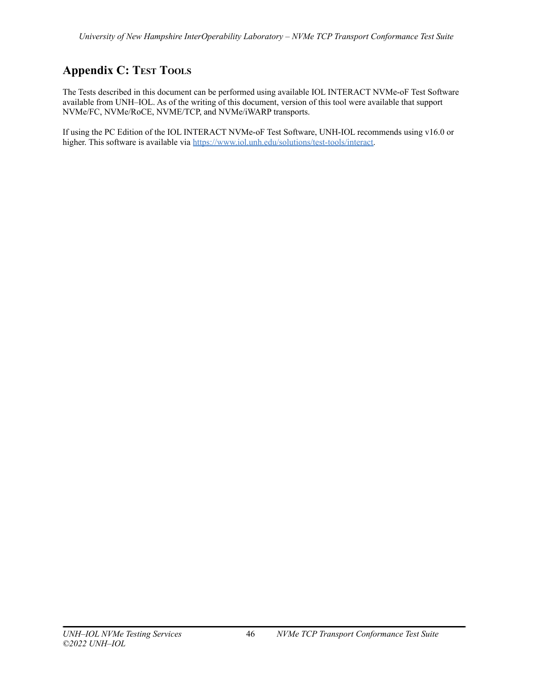# <span id="page-45-0"></span>**Appendix C: TEST TOOLS**

The Tests described in this document can be performed using available IOL INTERACT NVMe-oF Test Software available from UNH–IOL. As of the writing of this document, version of this tool were available that support NVMe/FC, NVMe/RoCE, NVME/TCP, and NVMe/iWARP transports.

If using the PC Edition of the IOL INTERACT NVMe-oF Test Software, UNH-IOL recommends using v16.0 or higher. This software is available via [https://www.iol.unh.edu/solutions/test-tools/interact.](https://www.iol.unh.edu/solutions/test-tools/interact)